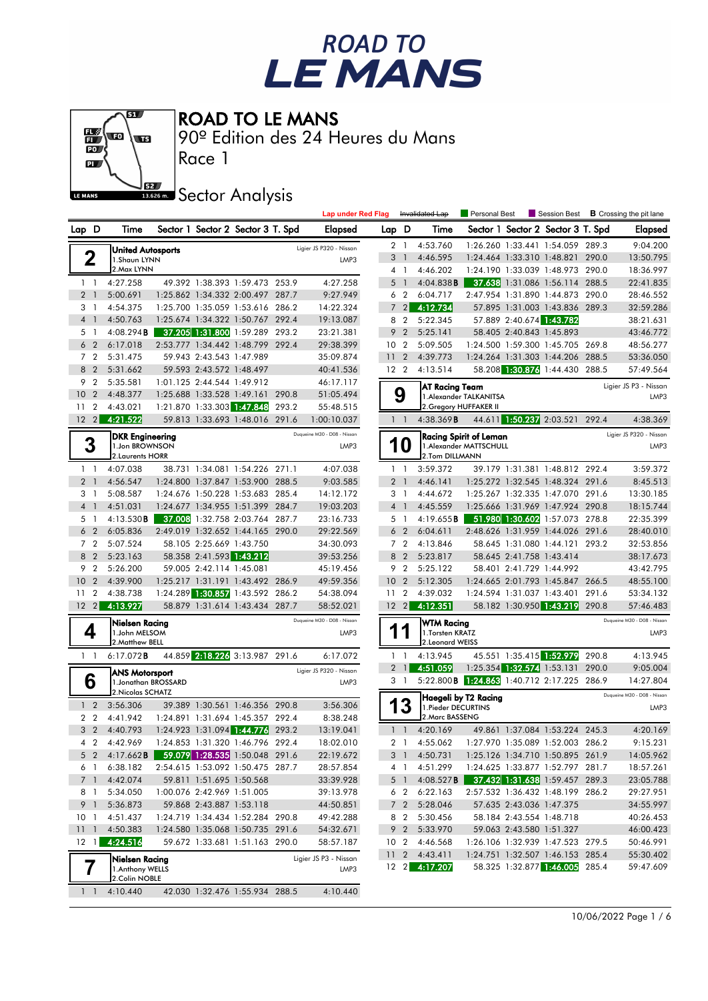# ROAD TO<br>LE MANS



ROAD TO LE MANS

90º Edition des 24 Heures du Mans

**J**<br>Issue Sector Analysis

Race 1

|                      |                                           |                                       |       | <b>Lap under Red Flag</b>   |                 |                            | Invalidated Lap      | Personal Best                                      |                          | Session Best                                                       |       | <b>B</b> Crossing the pit lane |
|----------------------|-------------------------------------------|---------------------------------------|-------|-----------------------------|-----------------|----------------------------|----------------------|----------------------------------------------------|--------------------------|--------------------------------------------------------------------|-------|--------------------------------|
| Lap D                | Time                                      | Sector 1 Sector 2 Sector 3 T. Spd     |       | Elapsed                     | Lap D           |                            | Time                 |                                                    |                          | Sector 1 Sector 2 Sector 3 T. Spd                                  |       | Elapsed                        |
|                      | <b>United Autosports</b>                  |                                       |       | Ligier JS P320 - Nissan     |                 | 2 1                        | 4:53.760             |                                                    |                          | 1:26.260 1:33.441 1:54.059 289.3                                   |       | 9:04.200                       |
| 2                    | 1.Shaun LYNN                              |                                       |       | LMP3                        | 3               | $\overline{1}$             | 4:46.595             |                                                    |                          | 1:24.464 1:33.310 1:48.821 290.0                                   |       | 13:50.795                      |
|                      | 2. Max LYNN                               |                                       |       |                             |                 | 4 1                        | 4:46.202             |                                                    |                          | 1:24.190 1:33.039 1:48.973 290.0                                   |       | 18:36.997                      |
| $1\quad$             | 4:27.258                                  | 49.392 1:38.393 1:59.473 253.9        |       | 4:27.258                    |                 | 5 <sub>1</sub>             | 4:04.838B            |                                                    |                          | 37.638 1:31.086 1:56.114 288.5                                     |       | 22:41.835                      |
| 2 <sub>1</sub>       | 5:00.691                                  | 1:25.862 1:34.332 2:00.497 287.7      |       | 9:27.949                    |                 | 6 <sub>2</sub>             | 6:04.717             |                                                    |                          | 2:47.954 1:31.890 1:44.873 290.0                                   |       | 28:46.552                      |
| 3 1                  | 4:54.375                                  | 1:25.700 1:35.059 1:53.616 286.2      |       | 14:22.324                   | $\overline{7}$  | $\overline{2}$             | 4:12.734             |                                                    |                          | 57.895 1:31.003 1:43.836 289.3                                     |       | 32:59.286                      |
| 4 1                  | 4:50.763                                  | 1:25.674 1:34.322 1:50.767 292.4      |       | 19:13.087                   |                 | 8 2                        | 5:22.345             |                                                    | 57.889 2:40.674 1:43.782 |                                                                    |       | 38:21.631                      |
| 5 1                  | 4:08.294B                                 | 37.205 1:31.800 1:59.289 293.2        |       | 23:21.381                   |                 | 9 <sub>2</sub>             | 5:25.141             |                                                    | 58.405 2:40.843 1:45.893 |                                                                    |       | 43:46.772                      |
| 6 <sub>2</sub>       | 6:17.018                                  | 2:53.777 1:34.442 1:48.799 292.4      |       | 29:38.399                   | 10 <sub>2</sub> |                            | 5:09.505             |                                                    |                          | 1:24.500 1:59.300 1:45.705 269.8                                   |       | 48:56.277                      |
| 7 <sub>2</sub>       | 5:31.475                                  | 59.943 2:43.543 1:47.989              |       | 35:09.874                   | 11              | $\overline{2}$             | 4:39.773             |                                                    |                          | 1:24.264 1:31.303 1:44.206 288.5                                   |       | 53:36.050                      |
| 8 2                  | 5:31.662                                  | 59.593 2:43.572 1:48.497              |       | 40:41.536                   | 12 <sub>2</sub> |                            | 4:13.514             |                                                    |                          | 58.208 1:30.876 1:44.430 288.5                                     |       | 57:49.564                      |
| 9 <sub>2</sub>       | 5:35.581                                  | 1:01.125 2:44.544 1:49.912            |       | 46:17.117                   |                 |                            | AT Racing Team       |                                                    |                          |                                                                    |       | Ligier JS P3 - Nissan          |
| 10 <sub>2</sub>      | 4:48.377                                  | 1:25.688 1:33.528 1:49.161 290.8      |       | 51:05.494                   |                 | 9                          |                      | 1. Alexander TALKANITSA                            |                          |                                                                    |       | LMP3                           |
| 11 <sub>2</sub>      | 4:43.021                                  | 1:21.870 1:33.303 1:47.848            | 293.2 | 55:48.515                   |                 |                            |                      | 2. Gregory HUFFAKER II                             |                          |                                                                    |       |                                |
| $12 \quad 2$         | 4:21.522                                  | 59.813 1:33.693 1:48.016 291.6        |       | 1:00:10.037                 |                 | $1\quad$                   | 4:38.369B            |                                                    |                          | 44.611 1:50.237 2:03.521 292.4                                     |       | 4:38.369                       |
| 3                    | <b>DKR Engineering</b>                    |                                       |       | Duqueine M30 - D08 - Nissan |                 |                            |                      | <b>Racing Spirit of Leman</b>                      |                          |                                                                    |       | Ligier JS P320 - Nissan        |
|                      | 1.Jon BROWNSON<br>2. Laurents HORR        |                                       |       | LMP3                        |                 | 10                         | 2.Tom DILLMANN       | 1. Alexander MATTSCHULL                            |                          |                                                                    |       | LMP3                           |
| $1\quad$             | 4:07.038                                  | 38.731 1:34.081 1:54.226 271.1        |       | 4:07.038                    | $1\quad$        |                            | 3:59.372             |                                                    |                          | 39.179 1:31.381 1:48.812 292.4                                     |       | 3:59.372                       |
| 2 <sub>1</sub>       | 4:56.547                                  | 1:24.800 1:37.847 1:53.900 288.5      |       | 9:03.585                    |                 | 2 <sub>1</sub>             | 4:46.141             |                                                    |                          | 1:25.272 1:32.545 1:48.324 291.6                                   |       | 8:45.513                       |
| 3 1                  | 5:08.587                                  | 1:24.676 1:50.228 1:53.683 285.4      |       | 14:12.172                   |                 | 3 1                        | 4:44.672             |                                                    |                          | 1:25.267 1:32.335 1:47.070 291.6                                   |       | 13:30.185                      |
| 4 <sup>1</sup>       | 4:51.031                                  | 1:24.677 1:34.955 1:51.399 284.7      |       | 19:03.203                   |                 | 4 <sup>1</sup>             | 4:45.559             |                                                    |                          | 1:25.666 1:31.969 1:47.924 290.8                                   |       | 18:15.744                      |
| 5 1                  | 4:13.530B                                 | 37.008 1:32.758 2:03.764 287.7        |       | 23:16.733                   |                 | 5 <sub>1</sub>             | 4:19.655B            |                                                    |                          | 51.980 1:30.602 1:57.073 278.8                                     |       | 22:35.399                      |
| 6 <sub>2</sub>       | 6:05.836                                  | 2:49.019 1:32.652 1:44.165 290.0      |       | 29:22.569                   |                 | 6 <sub>2</sub>             | 6:04.611             |                                                    |                          | 2:48.626 1:31.959 1:44.026                                         | 291.6 | 28:40.010                      |
| 7 <sup>2</sup>       | 5:07.524                                  | 58.105 2:25.669 1:43.750              |       | 34:30.093                   |                 | 7 <sub>2</sub>             | 4:13.846             |                                                    |                          | 58.645 1:31.080 1:44.121                                           | 293.2 | 32:53.856                      |
| 8 2                  | 5:23.163                                  | 58.358 2:41.593 1:43.212              |       | 39:53.256                   |                 | 8 2                        | 5:23.817             |                                                    | 58.645 2:41.758 1:43.414 |                                                                    |       | 38:17.673                      |
| 9 <sub>2</sub>       | 5:26.200                                  | 59.005 2:42.114 1:45.081              |       | 45:19.456                   |                 | 9 2                        | 5:25.122             |                                                    | 58.401 2:41.729 1:44.992 |                                                                    |       | 43:42.795                      |
| 10 <sub>2</sub>      | 4:39.900                                  | 1:25.217 1:31.191 1:43.492 286.9      |       | 49:59.356                   | 10 <sup>°</sup> | $\overline{2}$             | 5:12.305             |                                                    |                          | 1:24.665 2:01.793 1:45.847                                         | 266.5 | 48:55.100                      |
| $\overline{2}$<br>11 | 4:38.738                                  | 1:24.289 1:30.857 1:43.592 286.2      |       | 54:38.094                   | 11              | $\overline{2}$             | 4:39.032             |                                                    |                          | 1:24.594 1:31.037 1:43.401 291.6                                   |       | 53:34.132                      |
| $12 \quad 2$         | 4:13.927                                  | 58.879 1:31.614 1:43.434 287.7        |       | 58:52.021                   | 12 <sup>2</sup> |                            | 4:12.351             |                                                    |                          | 58.182 1:30.950 1:43.219 290.8                                     |       | 57:46.483                      |
|                      | Nielsen Racing                            |                                       |       | Duqueine M30 - D08 - Nissan |                 |                            | WTM Racing           |                                                    |                          |                                                                    |       | Duqueine M30 - D08 - Nissan    |
| 4                    | 1.John MELSOM                             |                                       |       | LMP3                        | 1               |                            | 1. Torsten KRATZ     |                                                    |                          |                                                                    |       | LMP3                           |
|                      | 2. Matthew BELL                           |                                       |       |                             |                 |                            | 2.Leonard WEISS      |                                                    |                          |                                                                    |       |                                |
| $1\quad$             | 6:17.072B                                 | 44.859 2:18.226 3:13.987 291.6        |       | 6:17.072                    |                 | $1\quad$<br>2 <sub>1</sub> | 4:13.945<br>4:51.059 |                                                    |                          | 45.551 1:35.415 1:52.979 290.8<br>1:25.354 1:32.574 1:53.131 290.0 |       | 4:13.945<br>9:05.004           |
| 6                    | <b>ANS Motorsport</b>                     |                                       |       | Ligier JS P320 - Nissan     |                 | 3 1                        |                      | 5:22.800 <b>B</b> 1:24.863 1:40.712 2:17.225 286.9 |                          |                                                                    |       | 14:27.804                      |
|                      | 1. Jonathan BROSSARD<br>2. Nicolas SCHATZ |                                       |       | LMP3                        |                 |                            |                      |                                                    |                          |                                                                    |       | Duqueine M30 - D08 - Nissan    |
| 1 <sup>2</sup>       | 3:56.306                                  | 39.389 1:30.561 1:46.356 290.8        |       | 3:56.306                    |                 | 3                          | 1. Pieder DECURTINS  | Haegeli by T2 Racing                               |                          |                                                                    |       | LMP3                           |
| 2 <sub>2</sub>       | 4:41.942                                  | 1:24.891 1:31.694 1:45.357 292.4      |       | 8:38.248                    |                 |                            | 2. Marc BASSENG      |                                                    |                          |                                                                    |       |                                |
| 3 <sub>2</sub>       | 4:40.793                                  | 1:24.923 1:31.094 1:44.776 293.2      |       | 13:19.041                   |                 | $1\quad$                   | 4:20.169             |                                                    |                          | 49.861 1:37.084 1:53.224 245.3                                     |       | 4:20.169                       |
| 4 2                  | 4:42.969                                  | 1:24.853 1:31.320 1:46.796 292.4      |       | 18:02.010                   |                 | 2 1                        | 4:55.062             | 1:27.970 1:35.089 1:52.003 286.2                   |                          |                                                                    |       | 9:15.231                       |
|                      | 5 2 4:17.662 <b>B</b>                     | <b>59.079 1:28.535</b> 1:50.048 291.6 |       | 22:19.672                   |                 |                            | 3 1 4:50.731         |                                                    |                          | 1:25.126 1:34.710 1:50.895 261.9                                   |       | 14:05.962                      |
| 61                   | 6:38.182                                  | 2:54.615 1:53.092 1:50.475 287.7      |       | 28:57.854                   |                 | 4 1                        | 4:51.299             |                                                    |                          | 1:24.625 1:33.877 1:52.797 281.7                                   |       | 18:57.261                      |
| 7 <sup>1</sup>       | 4:42.074                                  | 59.811 1:51.695 1:50.568              |       | 33:39.928                   |                 | 5 1                        | 4:08.527B            |                                                    |                          | <b>37.432 1:31.638 1:59.457 289.3</b>                              |       | 23:05.788                      |
| 8 1                  | 5:34.050                                  | 1:00.076 2:42.969 1:51.005            |       | 39:13.978                   |                 | 6 2                        | 6:22.163             |                                                    |                          | 2:57.532 1:36.432 1:48.199 286.2                                   |       | 29:27.951                      |
| 9 1                  | 5:36.873                                  | 59.868 2:43.887 1:53.118              |       | 44:50.851                   |                 | $7\quad2$                  | 5:28.046             |                                                    | 57.635 2:43.036 1:47.375 |                                                                    |       | 34:55.997                      |
| 10 <sub>1</sub>      | 4:51.437                                  | 1:24.719 1:34.434 1:52.284 290.8      |       | 49:42.288                   |                 | 8 2                        | 5:30.456             |                                                    | 58.184 2:43.554 1:48.718 |                                                                    |       | 40:26.453                      |
| 111                  | 4:50.383                                  | 1:24.580 1:35.068 1:50.735 291.6      |       | 54:32.671                   |                 | 9 <sub>2</sub>             | 5:33.970             |                                                    | 59.063 2:43.580 1:51.327 |                                                                    |       | 46:00.423                      |
| $12 \quad 1$         | 4:24.516                                  | 59.672 1:33.681 1:51.163 290.0        |       | 58:57.187                   | 10 <sub>2</sub> |                            | 4:46.568             |                                                    |                          | 1:26.106 1:32.939 1:47.523 279.5                                   |       | 50:46.991                      |
|                      | Nielsen Racing                            |                                       |       | Ligier JS P3 - Nissan       | 11 <sub>2</sub> |                            | 4:43.411             |                                                    |                          | 1:24.751 1:32.507 1:46.153 285.4                                   |       | 55:30.402                      |
|                      | 1.Anthony WELLS                           |                                       |       | LMP3                        |                 |                            | 12 2 4:17.207        |                                                    |                          | 58.325 1:32.877 1:46.005 285.4                                     |       | 59:47.609                      |
|                      | 2.Colin NOBLE                             |                                       |       |                             |                 |                            |                      |                                                    |                          |                                                                    |       |                                |
| $1\quad$             | 4:10.440                                  | 42.030 1:32.476 1:55.934 288.5        |       | 4:10.440                    |                 |                            |                      |                                                    |                          |                                                                    |       |                                |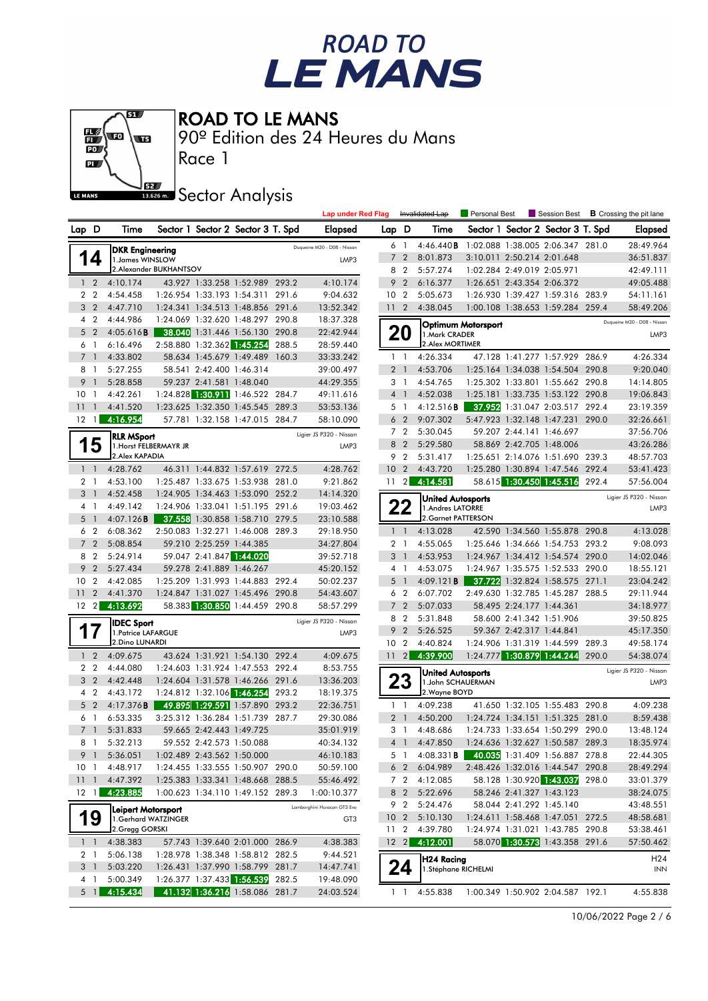# ROAD TO<br>LE MANS



ROAD TO LE MANS

90º Edition des 24 Heures du Mans

**J**<br>Issue Sector Analysis

Race 1

| Lap D<br>Sector 1 Sector 2 Sector 3 T. Spd<br>Lap D<br>Time<br>Sector 1 Sector 2 Sector 3 T. Spd<br>Elapsed<br>Time<br><b>Elapsed</b><br>4:46.440B<br>1:02.088 1:38.005 2:06.347 281.0<br>28:49.964<br>61<br>Duqueine M30 - D08 - Nissan<br><b>DKR Engineering</b><br>14<br>$\overline{2}$<br>8:01.873<br>3:10.011 2:50.214 2:01.648<br>36:51.837<br>$\overline{7}$<br>1. James WINSLOW<br>LMP3<br>2.Alexander BUKHANTSOV<br>5:57.274<br>1:02.284 2:49.019 2:05.971<br>8 2<br>42:49.111<br>43.927 1:33.258 1:52.989 293.2<br>4:10.174<br>9 <sub>2</sub><br>6:16.377<br>1:26.651 2:43.354 2:06.372<br>49:05.488<br>$1\quad 2$<br>4:10.174<br>2 <sub>2</sub><br>10 <sup>°</sup><br>$\overline{2}$<br>5:05.673<br>1:26.930 1:39.427 1:59.316 283.9<br>4:54.458<br>1:26.954 1:33.193 1:54.311<br>291.6<br>9:04.632<br>54:11.161<br>3 <sub>2</sub><br>4:47.710<br>13:52.342<br>11<br>$\overline{2}$<br>4:38.045<br>1:00.108 1:38.653 1:59.284 259.4<br>58:49.206<br>1:24.341 1:34.513 1:48.856 291.6<br>4:44.986<br>1:24.069 1:32.620 1:48.297 290.8<br>18:37.328<br>4 <sup>2</sup><br>Duqueine M30 - D08 - Nissan<br>Optimum Motorsport<br>20<br>38.040 1:31.446 1:56.130 290.8<br>$\overline{2}$<br>4:05.616B<br>22:42.944<br>5<br>1. Mark CRADER<br>LMP3<br>2:58.880 1:32.362 1:45.254 288.5<br>28:59.440<br>2. Alex MORTIMER<br>$\overline{1}$<br>6:16.496<br>6<br>4:33.802<br>58.634 1:45.679 1:49.489 160.3<br>4:26.334<br>47.128 1:41.277 1:57.929 286.9<br>4:26.334<br>$\overline{7}$<br>33:33.242<br>$1\quad$<br>-1<br>58.541 2:42.400 1:46.314<br>4:53.706<br>8 1<br>5:27.255<br>39:00.497<br>$\overline{2}$<br>1:25.164 1:34.038 1:54.504 290.8<br>9:20.040<br>$\overline{1}$<br>9<br>5:28.858<br>59.237 2:41.581 1:48.040<br>3 <sub>1</sub><br>4:54.765<br>1:25.302 1:33.801 1:55.662 290.8<br>$\overline{1}$<br>44:29.355<br>14:14.805<br>1:24.828 1:30.911 1:46.522 284.7<br>4:52.038<br>10 <sub>1</sub><br>4:42.261<br>49:11.616<br>4 <sup>1</sup><br>1:25.181 1:33.735 1:53.122 290.8<br>19:06.843<br>4:41.520<br>1:23.625 1:32.350 1:45.545 289.3<br>4:12.516B<br>37.952 1:31.047 2:03.517 292.4<br>23:19.359<br>11<br>53:53.136<br>5 1<br>$\overline{1}$<br>4:16.954<br>$12 \quad 1$<br>57.781 1:32.158 1:47.015 284.7<br>9:07.302<br>58:10.090<br>6 <sub>2</sub><br>5:47.923 1:32.148 1:47.231 290.0<br>32:26.661<br>7 <sub>2</sub><br>5:30.045<br>59.207 2:44.141 1:46.697<br>37:56.706<br>Ligier JS P320 - Nissan<br><b>RLR MSport</b><br>58.869 2:42.705 1:48.006<br>43:26.286<br>8 2<br>5:29.580<br>1<br>'ს<br>1. Horst FELBERMAYR JR<br>LMP3<br>2. Alex KAPADIA<br>5:31.417<br>1:25.651 2:14.076 1:51.690 239.3<br>48:57.703<br>9 2<br>4:43.720<br>1:25.280 1:30.894 1:47.546 292.4<br>$1\quad$<br>4:28.762<br>46.311 1:44.832 1:57.619 272.5<br>4:28.762<br>10 <sup>°</sup><br>$\overline{2}$<br>53:41.423<br>$11 \quad 2$<br>4:14.581<br>58.615 1:30.450 1:45.516 292.4<br>2 <sub>1</sub><br>4:53.100<br>1:25.487 1:33.675 1:53.938 281.0<br>9:21.862<br>57:56.004<br>3<br>$\overline{1}$<br>4:52.458<br>1:24.905 1:34.463 1:53.090 252.2<br>14:14.320<br>Ligier JS P320 - Nissan<br><b>United Autosports</b><br>22<br>4 1<br>4:49.142<br>1:24.906 1:33.041 1:51.195 291.6<br>19:03.462<br>1.Andres LATORRE<br>LMP3<br>2. Garnet PATTERSON<br>4:07.126B<br>37.558 1:30.858 1:58.710 279.5<br>5<br>23:10.588<br>$\overline{1}$<br>6 <sub>2</sub><br>6:08.362<br>2:50.083 1:32.271 1:46.008 289.3<br>4:13.028<br>29:18.950<br>42.590 1:34.560 1:55.878 290.8<br>4:13.028<br>$1\quad1$<br>7 <sup>2</sup><br>5:08.854<br>59.210 2:25.259 1:44.385<br>9:08.093<br>34:27.804<br>2 <sub>1</sub><br>4:55.065<br>1:25.646 1:34.666 1:54.753 293.2<br>8 2<br>5:24.914<br>59.047 2:41.847 1:44.020<br>4:53.953<br>39:52.718<br>3 <sub>1</sub><br>1:24.967 1:34.412 1:54.574 290.0<br>14:02.046<br>$\overline{2}$<br>5:27.434<br>59.278 2:41.889 1:46.267<br>4:53.075<br>1:24.967 1:35.575 1:52.533 290.0<br>18:55.121<br>9<br>45:20.152<br>4 1<br>10 <sub>2</sub><br>4:42.085<br>1:25.209 1:31.993 1:44.883 292.4<br>37.722 1:32.824 1:58.575 271.1<br>50:02.237<br>5<br>4:09.121B<br>23:04.242<br>$\overline{1}$<br>$\overline{2}$<br>1:24.847 1:31.027 1:45.496 290.8<br>6 <sub>2</sub><br>6:07.702<br>2:49.630 1:32.785 1:45.287 288.5<br>29:11.944<br>11<br>4:41.370<br>54:43.607<br>4:13.692<br>58.383 1:30.850 1:44.459 290.8<br>$12 \quad 2$<br>58:57.299<br>7<br>$\overline{2}$<br>5:07.033<br>58.495 2:24.177 1:44.361<br>34:18.977<br>8 2<br>5:31.848<br>58.600 2:41.342 1:51.906<br>39:50.825<br>Ligier JS P320 - Nissan<br><b>IDEC Sport</b><br>17<br>9<br>$\overline{2}$<br>59.367 2:42.317 1:44.841<br>5:26.525<br>45:17.350<br>1. Patrice LAFARGUE<br>LMP3<br>2.Dino LUNARDI<br>10 <sub>2</sub><br>4:40.824<br>1:24.906 1:31.319 1:44.599 289.3<br>49:58.174<br>$1\quad2$<br>4:09.675<br>$11 \quad 2$<br>4:39.900<br>1:24.777 1:30.879 1:44.244<br>290.0<br>54:38.074<br>43.624 1:31.921 1:54.130 292.4<br>4:09.675<br>2 <sub>2</sub><br>4:44.080<br>1:24.603 1:31.924 1:47.553 292.4<br>8:53.755<br>Ligier JS P320 - Nissan<br>United Autosports<br>23<br>$\overline{2}$<br>1:24.604 1:31.578 1:46.266 291.6<br>3<br>4:42.448<br>13:36.203<br>1.John SCHAUERMAN<br>LMP3<br>1:24.812 1:32.106 1:46.254 293.2<br>2. Wayne BOYD<br>4 <sup>2</sup><br>18:19.375<br>4:43.172<br>4:09.238<br>5 <sub>2</sub><br>4:17.376B<br>49.895 1:29.591 1:57.890 293.2<br>22:36.751<br>4:09.238<br>41.650 1:32.105 1:55.483 290.8<br>$1\quad$<br>3:25.312 1:36.284 1:51.739 287.7<br>2 <sub>1</sub><br>4:50.200<br>6 1<br>6:53.335<br>29:30.086<br>1:24.724 1:34.151 1:51.325 281.0<br>8:59.438<br>59.665 2:42.443 1:49.725<br>7 <sub>1</sub><br>5:31.833<br>35:01.919<br>3 1<br>4:48.686<br>1:24.733 1:33.654 1:50.299 290.0<br>13:48.124<br>5:32.213<br>18:35.974<br>8 1<br>59.552 2:42.573 1:50.088<br>40:34.132<br>4:47.850<br>1:24.636 1:32.627 1:50.587 289.3<br>4 1<br>40.035 1:31.409 1:56.887 278.8<br>5:36.051<br>1:02.489 2:43.562 1:50.000<br>46:10.183<br>5 1 4:08.331 <b>B</b><br>22:44.305<br>9 1<br>2:48.426 1:32.016 1:44.547 290.8<br>4:48.917<br>1:24.455 1:33.555 1:50.907 290.0<br>50:59.100<br>$6\quad2$<br>6:04.989<br>28:49.294<br>10 <sub>1</sub><br>58.128 1:30.920 1:43.037 298.0<br>$11-1$<br>4:47.392<br>1:25.383 1:33.341 1:48.668 288.5<br>55:46.492<br>7 <sub>2</sub><br>4:12.085<br>33:01.379<br>$12 \quad 1$<br>4:23.885<br>58.246 2:41.327 1:43.123<br>1:00.623 1:34.110 1:49.152 289.3<br>1:00:10.377<br>8 2<br>5:22.696<br>38:24.075<br>9 2<br>5:24.476<br>58.044 2:41.292 1:45.140<br>43:48.551<br>Lamborghini Huracan GT3 Evo<br>Leipert Motorsport<br>19<br>10 <sub>2</sub><br>5:10.130<br>1:24.611 1:58.468 1:47.051 272.5<br>48:58.681<br>1.Gerhard WATZINGER<br>GT <sub>3</sub><br>2.Gregg GORSKI<br>11 <sub>2</sub><br>4:39.780<br>1:24.974 1:31.021 1:43.785 290.8<br>53:38.461<br>4:12.001<br>58.070 1:30.573 1:43.358 291.6<br>4:38.383<br>4:38.383<br>$12 \quad 2$<br>57:50.462<br>$1\quad1$<br>57.743 1:39.640 2:01.000 286.9<br>5:06.138<br>1:28.978 1:38.348 1:58.812 282.5<br>9:44.521<br>2 1<br>H24 Racing<br>H <sub>24</sub><br>24<br>3 <sup>1</sup><br>5:03.220<br>1:26.431 1:37.990 1:58.799 281.7<br>14:47.741<br>1. Stéphane RICHELMI<br><b>INN</b><br>1:26.377 1:37.433 1:56.539 282.5 |     |          |  |  | <b>Lap under Red Flag</b> |  | Invalidated Lap | Personal Best | Session Best | <b>B</b> Crossing the pit lane |
|-----------------------------------------------------------------------------------------------------------------------------------------------------------------------------------------------------------------------------------------------------------------------------------------------------------------------------------------------------------------------------------------------------------------------------------------------------------------------------------------------------------------------------------------------------------------------------------------------------------------------------------------------------------------------------------------------------------------------------------------------------------------------------------------------------------------------------------------------------------------------------------------------------------------------------------------------------------------------------------------------------------------------------------------------------------------------------------------------------------------------------------------------------------------------------------------------------------------------------------------------------------------------------------------------------------------------------------------------------------------------------------------------------------------------------------------------------------------------------------------------------------------------------------------------------------------------------------------------------------------------------------------------------------------------------------------------------------------------------------------------------------------------------------------------------------------------------------------------------------------------------------------------------------------------------------------------------------------------------------------------------------------------------------------------------------------------------------------------------------------------------------------------------------------------------------------------------------------------------------------------------------------------------------------------------------------------------------------------------------------------------------------------------------------------------------------------------------------------------------------------------------------------------------------------------------------------------------------------------------------------------------------------------------------------------------------------------------------------------------------------------------------------------------------------------------------------------------------------------------------------------------------------------------------------------------------------------------------------------------------------------------------------------------------------------------------------------------------------------------------------------------------------------------------------------------------------------------------------------------------------------------------------------------------------------------------------------------------------------------------------------------------------------------------------------------------------------------------------------------------------------------------------------------------------------------------------------------------------------------------------------------------------------------------------------------------------------------------------------------------------------------------------------------------------------------------------------------------------------------------------------------------------------------------------------------------------------------------------------------------------------------------------------------------------------------------------------------------------------------------------------------------------------------------------------------------------------------------------------------------------------------------------------------------------------------------------------------------------------------------------------------------------------------------------------------------------------------------------------------------------------------------------------------------------------------------------------------------------------------------------------------------------------------------------------------------------------------------------------------------------------------------------------------------------------------------------------------------------------------------------------------------------------------------------------------------------------------------------------------------------------------------------------------------------------------------------------------------------------------------------------------------------------------------------------------------------------------------------------------------------------------------------------------------------------------------------------------------------------------------------------------------------------------------------------------------------------------------------------------------------------------------------------------------------------------------------------------------------------------------------------------------------------------------------------------------------------------------------------------------------------------------------------------------------------------------------------------------------------------------------------------------------------------------------------------------------------------------------------------------------------------------------------------------------------------------------------------------------------------------------------------------------------------------------------------------------------------------------------------------------------------------------------------------------------------------------------------------------------------------------------------------------------------------------------------------------------------------------------------------------------------------------------------------------------------------------------------------------------------------------------------------------------------------------------------------------------------------------------------------------------------------------------------------------------------------------------------------------------------------------------------------------------------------------------------------------------------------------------------------------------------------------------------------------------------------------------------------------------------------------------------------------------------------------------------------------------------------------------------------------------------|-----|----------|--|--|---------------------------|--|-----------------|---------------|--------------|--------------------------------|
|                                                                                                                                                                                                                                                                                                                                                                                                                                                                                                                                                                                                                                                                                                                                                                                                                                                                                                                                                                                                                                                                                                                                                                                                                                                                                                                                                                                                                                                                                                                                                                                                                                                                                                                                                                                                                                                                                                                                                                                                                                                                                                                                                                                                                                                                                                                                                                                                                                                                                                                                                                                                                                                                                                                                                                                                                                                                                                                                                                                                                                                                                                                                                                                                                                                                                                                                                                                                                                                                                                                                                                                                                                                                                                                                                                                                                                                                                                                                                                                                                                                                                                                                                                                                                                                                                                                                                                                                                                                                                                                                                                                                                                                                                                                                                                                                                                                                                                                                                                                                                                                                                                                                                                                                                                                                                                                                                                                                                                                                                                                                                                                                                                                                                                                                                                                                                                                                                                                                                                                                                                                                                                                                                                                                                                                                                                                                                                                                                                                                                                                                                                                                                                                                                                                                                                                                                                                                                                                                                                                                                                                                                                                                                                                                                                                           |     |          |  |  |                           |  |                 |               |              |                                |
|                                                                                                                                                                                                                                                                                                                                                                                                                                                                                                                                                                                                                                                                                                                                                                                                                                                                                                                                                                                                                                                                                                                                                                                                                                                                                                                                                                                                                                                                                                                                                                                                                                                                                                                                                                                                                                                                                                                                                                                                                                                                                                                                                                                                                                                                                                                                                                                                                                                                                                                                                                                                                                                                                                                                                                                                                                                                                                                                                                                                                                                                                                                                                                                                                                                                                                                                                                                                                                                                                                                                                                                                                                                                                                                                                                                                                                                                                                                                                                                                                                                                                                                                                                                                                                                                                                                                                                                                                                                                                                                                                                                                                                                                                                                                                                                                                                                                                                                                                                                                                                                                                                                                                                                                                                                                                                                                                                                                                                                                                                                                                                                                                                                                                                                                                                                                                                                                                                                                                                                                                                                                                                                                                                                                                                                                                                                                                                                                                                                                                                                                                                                                                                                                                                                                                                                                                                                                                                                                                                                                                                                                                                                                                                                                                                                           |     |          |  |  |                           |  |                 |               |              |                                |
|                                                                                                                                                                                                                                                                                                                                                                                                                                                                                                                                                                                                                                                                                                                                                                                                                                                                                                                                                                                                                                                                                                                                                                                                                                                                                                                                                                                                                                                                                                                                                                                                                                                                                                                                                                                                                                                                                                                                                                                                                                                                                                                                                                                                                                                                                                                                                                                                                                                                                                                                                                                                                                                                                                                                                                                                                                                                                                                                                                                                                                                                                                                                                                                                                                                                                                                                                                                                                                                                                                                                                                                                                                                                                                                                                                                                                                                                                                                                                                                                                                                                                                                                                                                                                                                                                                                                                                                                                                                                                                                                                                                                                                                                                                                                                                                                                                                                                                                                                                                                                                                                                                                                                                                                                                                                                                                                                                                                                                                                                                                                                                                                                                                                                                                                                                                                                                                                                                                                                                                                                                                                                                                                                                                                                                                                                                                                                                                                                                                                                                                                                                                                                                                                                                                                                                                                                                                                                                                                                                                                                                                                                                                                                                                                                                                           |     |          |  |  |                           |  |                 |               |              |                                |
|                                                                                                                                                                                                                                                                                                                                                                                                                                                                                                                                                                                                                                                                                                                                                                                                                                                                                                                                                                                                                                                                                                                                                                                                                                                                                                                                                                                                                                                                                                                                                                                                                                                                                                                                                                                                                                                                                                                                                                                                                                                                                                                                                                                                                                                                                                                                                                                                                                                                                                                                                                                                                                                                                                                                                                                                                                                                                                                                                                                                                                                                                                                                                                                                                                                                                                                                                                                                                                                                                                                                                                                                                                                                                                                                                                                                                                                                                                                                                                                                                                                                                                                                                                                                                                                                                                                                                                                                                                                                                                                                                                                                                                                                                                                                                                                                                                                                                                                                                                                                                                                                                                                                                                                                                                                                                                                                                                                                                                                                                                                                                                                                                                                                                                                                                                                                                                                                                                                                                                                                                                                                                                                                                                                                                                                                                                                                                                                                                                                                                                                                                                                                                                                                                                                                                                                                                                                                                                                                                                                                                                                                                                                                                                                                                                                           |     |          |  |  |                           |  |                 |               |              |                                |
|                                                                                                                                                                                                                                                                                                                                                                                                                                                                                                                                                                                                                                                                                                                                                                                                                                                                                                                                                                                                                                                                                                                                                                                                                                                                                                                                                                                                                                                                                                                                                                                                                                                                                                                                                                                                                                                                                                                                                                                                                                                                                                                                                                                                                                                                                                                                                                                                                                                                                                                                                                                                                                                                                                                                                                                                                                                                                                                                                                                                                                                                                                                                                                                                                                                                                                                                                                                                                                                                                                                                                                                                                                                                                                                                                                                                                                                                                                                                                                                                                                                                                                                                                                                                                                                                                                                                                                                                                                                                                                                                                                                                                                                                                                                                                                                                                                                                                                                                                                                                                                                                                                                                                                                                                                                                                                                                                                                                                                                                                                                                                                                                                                                                                                                                                                                                                                                                                                                                                                                                                                                                                                                                                                                                                                                                                                                                                                                                                                                                                                                                                                                                                                                                                                                                                                                                                                                                                                                                                                                                                                                                                                                                                                                                                                                           |     |          |  |  |                           |  |                 |               |              |                                |
|                                                                                                                                                                                                                                                                                                                                                                                                                                                                                                                                                                                                                                                                                                                                                                                                                                                                                                                                                                                                                                                                                                                                                                                                                                                                                                                                                                                                                                                                                                                                                                                                                                                                                                                                                                                                                                                                                                                                                                                                                                                                                                                                                                                                                                                                                                                                                                                                                                                                                                                                                                                                                                                                                                                                                                                                                                                                                                                                                                                                                                                                                                                                                                                                                                                                                                                                                                                                                                                                                                                                                                                                                                                                                                                                                                                                                                                                                                                                                                                                                                                                                                                                                                                                                                                                                                                                                                                                                                                                                                                                                                                                                                                                                                                                                                                                                                                                                                                                                                                                                                                                                                                                                                                                                                                                                                                                                                                                                                                                                                                                                                                                                                                                                                                                                                                                                                                                                                                                                                                                                                                                                                                                                                                                                                                                                                                                                                                                                                                                                                                                                                                                                                                                                                                                                                                                                                                                                                                                                                                                                                                                                                                                                                                                                                                           |     |          |  |  |                           |  |                 |               |              |                                |
|                                                                                                                                                                                                                                                                                                                                                                                                                                                                                                                                                                                                                                                                                                                                                                                                                                                                                                                                                                                                                                                                                                                                                                                                                                                                                                                                                                                                                                                                                                                                                                                                                                                                                                                                                                                                                                                                                                                                                                                                                                                                                                                                                                                                                                                                                                                                                                                                                                                                                                                                                                                                                                                                                                                                                                                                                                                                                                                                                                                                                                                                                                                                                                                                                                                                                                                                                                                                                                                                                                                                                                                                                                                                                                                                                                                                                                                                                                                                                                                                                                                                                                                                                                                                                                                                                                                                                                                                                                                                                                                                                                                                                                                                                                                                                                                                                                                                                                                                                                                                                                                                                                                                                                                                                                                                                                                                                                                                                                                                                                                                                                                                                                                                                                                                                                                                                                                                                                                                                                                                                                                                                                                                                                                                                                                                                                                                                                                                                                                                                                                                                                                                                                                                                                                                                                                                                                                                                                                                                                                                                                                                                                                                                                                                                                                           |     |          |  |  |                           |  |                 |               |              |                                |
|                                                                                                                                                                                                                                                                                                                                                                                                                                                                                                                                                                                                                                                                                                                                                                                                                                                                                                                                                                                                                                                                                                                                                                                                                                                                                                                                                                                                                                                                                                                                                                                                                                                                                                                                                                                                                                                                                                                                                                                                                                                                                                                                                                                                                                                                                                                                                                                                                                                                                                                                                                                                                                                                                                                                                                                                                                                                                                                                                                                                                                                                                                                                                                                                                                                                                                                                                                                                                                                                                                                                                                                                                                                                                                                                                                                                                                                                                                                                                                                                                                                                                                                                                                                                                                                                                                                                                                                                                                                                                                                                                                                                                                                                                                                                                                                                                                                                                                                                                                                                                                                                                                                                                                                                                                                                                                                                                                                                                                                                                                                                                                                                                                                                                                                                                                                                                                                                                                                                                                                                                                                                                                                                                                                                                                                                                                                                                                                                                                                                                                                                                                                                                                                                                                                                                                                                                                                                                                                                                                                                                                                                                                                                                                                                                                                           |     |          |  |  |                           |  |                 |               |              |                                |
|                                                                                                                                                                                                                                                                                                                                                                                                                                                                                                                                                                                                                                                                                                                                                                                                                                                                                                                                                                                                                                                                                                                                                                                                                                                                                                                                                                                                                                                                                                                                                                                                                                                                                                                                                                                                                                                                                                                                                                                                                                                                                                                                                                                                                                                                                                                                                                                                                                                                                                                                                                                                                                                                                                                                                                                                                                                                                                                                                                                                                                                                                                                                                                                                                                                                                                                                                                                                                                                                                                                                                                                                                                                                                                                                                                                                                                                                                                                                                                                                                                                                                                                                                                                                                                                                                                                                                                                                                                                                                                                                                                                                                                                                                                                                                                                                                                                                                                                                                                                                                                                                                                                                                                                                                                                                                                                                                                                                                                                                                                                                                                                                                                                                                                                                                                                                                                                                                                                                                                                                                                                                                                                                                                                                                                                                                                                                                                                                                                                                                                                                                                                                                                                                                                                                                                                                                                                                                                                                                                                                                                                                                                                                                                                                                                                           |     |          |  |  |                           |  |                 |               |              |                                |
|                                                                                                                                                                                                                                                                                                                                                                                                                                                                                                                                                                                                                                                                                                                                                                                                                                                                                                                                                                                                                                                                                                                                                                                                                                                                                                                                                                                                                                                                                                                                                                                                                                                                                                                                                                                                                                                                                                                                                                                                                                                                                                                                                                                                                                                                                                                                                                                                                                                                                                                                                                                                                                                                                                                                                                                                                                                                                                                                                                                                                                                                                                                                                                                                                                                                                                                                                                                                                                                                                                                                                                                                                                                                                                                                                                                                                                                                                                                                                                                                                                                                                                                                                                                                                                                                                                                                                                                                                                                                                                                                                                                                                                                                                                                                                                                                                                                                                                                                                                                                                                                                                                                                                                                                                                                                                                                                                                                                                                                                                                                                                                                                                                                                                                                                                                                                                                                                                                                                                                                                                                                                                                                                                                                                                                                                                                                                                                                                                                                                                                                                                                                                                                                                                                                                                                                                                                                                                                                                                                                                                                                                                                                                                                                                                                                           |     |          |  |  |                           |  |                 |               |              |                                |
|                                                                                                                                                                                                                                                                                                                                                                                                                                                                                                                                                                                                                                                                                                                                                                                                                                                                                                                                                                                                                                                                                                                                                                                                                                                                                                                                                                                                                                                                                                                                                                                                                                                                                                                                                                                                                                                                                                                                                                                                                                                                                                                                                                                                                                                                                                                                                                                                                                                                                                                                                                                                                                                                                                                                                                                                                                                                                                                                                                                                                                                                                                                                                                                                                                                                                                                                                                                                                                                                                                                                                                                                                                                                                                                                                                                                                                                                                                                                                                                                                                                                                                                                                                                                                                                                                                                                                                                                                                                                                                                                                                                                                                                                                                                                                                                                                                                                                                                                                                                                                                                                                                                                                                                                                                                                                                                                                                                                                                                                                                                                                                                                                                                                                                                                                                                                                                                                                                                                                                                                                                                                                                                                                                                                                                                                                                                                                                                                                                                                                                                                                                                                                                                                                                                                                                                                                                                                                                                                                                                                                                                                                                                                                                                                                                                           |     |          |  |  |                           |  |                 |               |              |                                |
|                                                                                                                                                                                                                                                                                                                                                                                                                                                                                                                                                                                                                                                                                                                                                                                                                                                                                                                                                                                                                                                                                                                                                                                                                                                                                                                                                                                                                                                                                                                                                                                                                                                                                                                                                                                                                                                                                                                                                                                                                                                                                                                                                                                                                                                                                                                                                                                                                                                                                                                                                                                                                                                                                                                                                                                                                                                                                                                                                                                                                                                                                                                                                                                                                                                                                                                                                                                                                                                                                                                                                                                                                                                                                                                                                                                                                                                                                                                                                                                                                                                                                                                                                                                                                                                                                                                                                                                                                                                                                                                                                                                                                                                                                                                                                                                                                                                                                                                                                                                                                                                                                                                                                                                                                                                                                                                                                                                                                                                                                                                                                                                                                                                                                                                                                                                                                                                                                                                                                                                                                                                                                                                                                                                                                                                                                                                                                                                                                                                                                                                                                                                                                                                                                                                                                                                                                                                                                                                                                                                                                                                                                                                                                                                                                                                           |     |          |  |  |                           |  |                 |               |              |                                |
|                                                                                                                                                                                                                                                                                                                                                                                                                                                                                                                                                                                                                                                                                                                                                                                                                                                                                                                                                                                                                                                                                                                                                                                                                                                                                                                                                                                                                                                                                                                                                                                                                                                                                                                                                                                                                                                                                                                                                                                                                                                                                                                                                                                                                                                                                                                                                                                                                                                                                                                                                                                                                                                                                                                                                                                                                                                                                                                                                                                                                                                                                                                                                                                                                                                                                                                                                                                                                                                                                                                                                                                                                                                                                                                                                                                                                                                                                                                                                                                                                                                                                                                                                                                                                                                                                                                                                                                                                                                                                                                                                                                                                                                                                                                                                                                                                                                                                                                                                                                                                                                                                                                                                                                                                                                                                                                                                                                                                                                                                                                                                                                                                                                                                                                                                                                                                                                                                                                                                                                                                                                                                                                                                                                                                                                                                                                                                                                                                                                                                                                                                                                                                                                                                                                                                                                                                                                                                                                                                                                                                                                                                                                                                                                                                                                           |     |          |  |  |                           |  |                 |               |              |                                |
|                                                                                                                                                                                                                                                                                                                                                                                                                                                                                                                                                                                                                                                                                                                                                                                                                                                                                                                                                                                                                                                                                                                                                                                                                                                                                                                                                                                                                                                                                                                                                                                                                                                                                                                                                                                                                                                                                                                                                                                                                                                                                                                                                                                                                                                                                                                                                                                                                                                                                                                                                                                                                                                                                                                                                                                                                                                                                                                                                                                                                                                                                                                                                                                                                                                                                                                                                                                                                                                                                                                                                                                                                                                                                                                                                                                                                                                                                                                                                                                                                                                                                                                                                                                                                                                                                                                                                                                                                                                                                                                                                                                                                                                                                                                                                                                                                                                                                                                                                                                                                                                                                                                                                                                                                                                                                                                                                                                                                                                                                                                                                                                                                                                                                                                                                                                                                                                                                                                                                                                                                                                                                                                                                                                                                                                                                                                                                                                                                                                                                                                                                                                                                                                                                                                                                                                                                                                                                                                                                                                                                                                                                                                                                                                                                                                           |     |          |  |  |                           |  |                 |               |              |                                |
|                                                                                                                                                                                                                                                                                                                                                                                                                                                                                                                                                                                                                                                                                                                                                                                                                                                                                                                                                                                                                                                                                                                                                                                                                                                                                                                                                                                                                                                                                                                                                                                                                                                                                                                                                                                                                                                                                                                                                                                                                                                                                                                                                                                                                                                                                                                                                                                                                                                                                                                                                                                                                                                                                                                                                                                                                                                                                                                                                                                                                                                                                                                                                                                                                                                                                                                                                                                                                                                                                                                                                                                                                                                                                                                                                                                                                                                                                                                                                                                                                                                                                                                                                                                                                                                                                                                                                                                                                                                                                                                                                                                                                                                                                                                                                                                                                                                                                                                                                                                                                                                                                                                                                                                                                                                                                                                                                                                                                                                                                                                                                                                                                                                                                                                                                                                                                                                                                                                                                                                                                                                                                                                                                                                                                                                                                                                                                                                                                                                                                                                                                                                                                                                                                                                                                                                                                                                                                                                                                                                                                                                                                                                                                                                                                                                           |     |          |  |  |                           |  |                 |               |              |                                |
|                                                                                                                                                                                                                                                                                                                                                                                                                                                                                                                                                                                                                                                                                                                                                                                                                                                                                                                                                                                                                                                                                                                                                                                                                                                                                                                                                                                                                                                                                                                                                                                                                                                                                                                                                                                                                                                                                                                                                                                                                                                                                                                                                                                                                                                                                                                                                                                                                                                                                                                                                                                                                                                                                                                                                                                                                                                                                                                                                                                                                                                                                                                                                                                                                                                                                                                                                                                                                                                                                                                                                                                                                                                                                                                                                                                                                                                                                                                                                                                                                                                                                                                                                                                                                                                                                                                                                                                                                                                                                                                                                                                                                                                                                                                                                                                                                                                                                                                                                                                                                                                                                                                                                                                                                                                                                                                                                                                                                                                                                                                                                                                                                                                                                                                                                                                                                                                                                                                                                                                                                                                                                                                                                                                                                                                                                                                                                                                                                                                                                                                                                                                                                                                                                                                                                                                                                                                                                                                                                                                                                                                                                                                                                                                                                                                           |     |          |  |  |                           |  |                 |               |              |                                |
|                                                                                                                                                                                                                                                                                                                                                                                                                                                                                                                                                                                                                                                                                                                                                                                                                                                                                                                                                                                                                                                                                                                                                                                                                                                                                                                                                                                                                                                                                                                                                                                                                                                                                                                                                                                                                                                                                                                                                                                                                                                                                                                                                                                                                                                                                                                                                                                                                                                                                                                                                                                                                                                                                                                                                                                                                                                                                                                                                                                                                                                                                                                                                                                                                                                                                                                                                                                                                                                                                                                                                                                                                                                                                                                                                                                                                                                                                                                                                                                                                                                                                                                                                                                                                                                                                                                                                                                                                                                                                                                                                                                                                                                                                                                                                                                                                                                                                                                                                                                                                                                                                                                                                                                                                                                                                                                                                                                                                                                                                                                                                                                                                                                                                                                                                                                                                                                                                                                                                                                                                                                                                                                                                                                                                                                                                                                                                                                                                                                                                                                                                                                                                                                                                                                                                                                                                                                                                                                                                                                                                                                                                                                                                                                                                                                           |     |          |  |  |                           |  |                 |               |              |                                |
|                                                                                                                                                                                                                                                                                                                                                                                                                                                                                                                                                                                                                                                                                                                                                                                                                                                                                                                                                                                                                                                                                                                                                                                                                                                                                                                                                                                                                                                                                                                                                                                                                                                                                                                                                                                                                                                                                                                                                                                                                                                                                                                                                                                                                                                                                                                                                                                                                                                                                                                                                                                                                                                                                                                                                                                                                                                                                                                                                                                                                                                                                                                                                                                                                                                                                                                                                                                                                                                                                                                                                                                                                                                                                                                                                                                                                                                                                                                                                                                                                                                                                                                                                                                                                                                                                                                                                                                                                                                                                                                                                                                                                                                                                                                                                                                                                                                                                                                                                                                                                                                                                                                                                                                                                                                                                                                                                                                                                                                                                                                                                                                                                                                                                                                                                                                                                                                                                                                                                                                                                                                                                                                                                                                                                                                                                                                                                                                                                                                                                                                                                                                                                                                                                                                                                                                                                                                                                                                                                                                                                                                                                                                                                                                                                                                           |     |          |  |  |                           |  |                 |               |              |                                |
|                                                                                                                                                                                                                                                                                                                                                                                                                                                                                                                                                                                                                                                                                                                                                                                                                                                                                                                                                                                                                                                                                                                                                                                                                                                                                                                                                                                                                                                                                                                                                                                                                                                                                                                                                                                                                                                                                                                                                                                                                                                                                                                                                                                                                                                                                                                                                                                                                                                                                                                                                                                                                                                                                                                                                                                                                                                                                                                                                                                                                                                                                                                                                                                                                                                                                                                                                                                                                                                                                                                                                                                                                                                                                                                                                                                                                                                                                                                                                                                                                                                                                                                                                                                                                                                                                                                                                                                                                                                                                                                                                                                                                                                                                                                                                                                                                                                                                                                                                                                                                                                                                                                                                                                                                                                                                                                                                                                                                                                                                                                                                                                                                                                                                                                                                                                                                                                                                                                                                                                                                                                                                                                                                                                                                                                                                                                                                                                                                                                                                                                                                                                                                                                                                                                                                                                                                                                                                                                                                                                                                                                                                                                                                                                                                                                           |     |          |  |  |                           |  |                 |               |              |                                |
|                                                                                                                                                                                                                                                                                                                                                                                                                                                                                                                                                                                                                                                                                                                                                                                                                                                                                                                                                                                                                                                                                                                                                                                                                                                                                                                                                                                                                                                                                                                                                                                                                                                                                                                                                                                                                                                                                                                                                                                                                                                                                                                                                                                                                                                                                                                                                                                                                                                                                                                                                                                                                                                                                                                                                                                                                                                                                                                                                                                                                                                                                                                                                                                                                                                                                                                                                                                                                                                                                                                                                                                                                                                                                                                                                                                                                                                                                                                                                                                                                                                                                                                                                                                                                                                                                                                                                                                                                                                                                                                                                                                                                                                                                                                                                                                                                                                                                                                                                                                                                                                                                                                                                                                                                                                                                                                                                                                                                                                                                                                                                                                                                                                                                                                                                                                                                                                                                                                                                                                                                                                                                                                                                                                                                                                                                                                                                                                                                                                                                                                                                                                                                                                                                                                                                                                                                                                                                                                                                                                                                                                                                                                                                                                                                                                           |     |          |  |  |                           |  |                 |               |              |                                |
|                                                                                                                                                                                                                                                                                                                                                                                                                                                                                                                                                                                                                                                                                                                                                                                                                                                                                                                                                                                                                                                                                                                                                                                                                                                                                                                                                                                                                                                                                                                                                                                                                                                                                                                                                                                                                                                                                                                                                                                                                                                                                                                                                                                                                                                                                                                                                                                                                                                                                                                                                                                                                                                                                                                                                                                                                                                                                                                                                                                                                                                                                                                                                                                                                                                                                                                                                                                                                                                                                                                                                                                                                                                                                                                                                                                                                                                                                                                                                                                                                                                                                                                                                                                                                                                                                                                                                                                                                                                                                                                                                                                                                                                                                                                                                                                                                                                                                                                                                                                                                                                                                                                                                                                                                                                                                                                                                                                                                                                                                                                                                                                                                                                                                                                                                                                                                                                                                                                                                                                                                                                                                                                                                                                                                                                                                                                                                                                                                                                                                                                                                                                                                                                                                                                                                                                                                                                                                                                                                                                                                                                                                                                                                                                                                                                           |     |          |  |  |                           |  |                 |               |              |                                |
|                                                                                                                                                                                                                                                                                                                                                                                                                                                                                                                                                                                                                                                                                                                                                                                                                                                                                                                                                                                                                                                                                                                                                                                                                                                                                                                                                                                                                                                                                                                                                                                                                                                                                                                                                                                                                                                                                                                                                                                                                                                                                                                                                                                                                                                                                                                                                                                                                                                                                                                                                                                                                                                                                                                                                                                                                                                                                                                                                                                                                                                                                                                                                                                                                                                                                                                                                                                                                                                                                                                                                                                                                                                                                                                                                                                                                                                                                                                                                                                                                                                                                                                                                                                                                                                                                                                                                                                                                                                                                                                                                                                                                                                                                                                                                                                                                                                                                                                                                                                                                                                                                                                                                                                                                                                                                                                                                                                                                                                                                                                                                                                                                                                                                                                                                                                                                                                                                                                                                                                                                                                                                                                                                                                                                                                                                                                                                                                                                                                                                                                                                                                                                                                                                                                                                                                                                                                                                                                                                                                                                                                                                                                                                                                                                                                           |     |          |  |  |                           |  |                 |               |              |                                |
|                                                                                                                                                                                                                                                                                                                                                                                                                                                                                                                                                                                                                                                                                                                                                                                                                                                                                                                                                                                                                                                                                                                                                                                                                                                                                                                                                                                                                                                                                                                                                                                                                                                                                                                                                                                                                                                                                                                                                                                                                                                                                                                                                                                                                                                                                                                                                                                                                                                                                                                                                                                                                                                                                                                                                                                                                                                                                                                                                                                                                                                                                                                                                                                                                                                                                                                                                                                                                                                                                                                                                                                                                                                                                                                                                                                                                                                                                                                                                                                                                                                                                                                                                                                                                                                                                                                                                                                                                                                                                                                                                                                                                                                                                                                                                                                                                                                                                                                                                                                                                                                                                                                                                                                                                                                                                                                                                                                                                                                                                                                                                                                                                                                                                                                                                                                                                                                                                                                                                                                                                                                                                                                                                                                                                                                                                                                                                                                                                                                                                                                                                                                                                                                                                                                                                                                                                                                                                                                                                                                                                                                                                                                                                                                                                                                           |     |          |  |  |                           |  |                 |               |              |                                |
|                                                                                                                                                                                                                                                                                                                                                                                                                                                                                                                                                                                                                                                                                                                                                                                                                                                                                                                                                                                                                                                                                                                                                                                                                                                                                                                                                                                                                                                                                                                                                                                                                                                                                                                                                                                                                                                                                                                                                                                                                                                                                                                                                                                                                                                                                                                                                                                                                                                                                                                                                                                                                                                                                                                                                                                                                                                                                                                                                                                                                                                                                                                                                                                                                                                                                                                                                                                                                                                                                                                                                                                                                                                                                                                                                                                                                                                                                                                                                                                                                                                                                                                                                                                                                                                                                                                                                                                                                                                                                                                                                                                                                                                                                                                                                                                                                                                                                                                                                                                                                                                                                                                                                                                                                                                                                                                                                                                                                                                                                                                                                                                                                                                                                                                                                                                                                                                                                                                                                                                                                                                                                                                                                                                                                                                                                                                                                                                                                                                                                                                                                                                                                                                                                                                                                                                                                                                                                                                                                                                                                                                                                                                                                                                                                                                           |     |          |  |  |                           |  |                 |               |              |                                |
|                                                                                                                                                                                                                                                                                                                                                                                                                                                                                                                                                                                                                                                                                                                                                                                                                                                                                                                                                                                                                                                                                                                                                                                                                                                                                                                                                                                                                                                                                                                                                                                                                                                                                                                                                                                                                                                                                                                                                                                                                                                                                                                                                                                                                                                                                                                                                                                                                                                                                                                                                                                                                                                                                                                                                                                                                                                                                                                                                                                                                                                                                                                                                                                                                                                                                                                                                                                                                                                                                                                                                                                                                                                                                                                                                                                                                                                                                                                                                                                                                                                                                                                                                                                                                                                                                                                                                                                                                                                                                                                                                                                                                                                                                                                                                                                                                                                                                                                                                                                                                                                                                                                                                                                                                                                                                                                                                                                                                                                                                                                                                                                                                                                                                                                                                                                                                                                                                                                                                                                                                                                                                                                                                                                                                                                                                                                                                                                                                                                                                                                                                                                                                                                                                                                                                                                                                                                                                                                                                                                                                                                                                                                                                                                                                                                           |     |          |  |  |                           |  |                 |               |              |                                |
|                                                                                                                                                                                                                                                                                                                                                                                                                                                                                                                                                                                                                                                                                                                                                                                                                                                                                                                                                                                                                                                                                                                                                                                                                                                                                                                                                                                                                                                                                                                                                                                                                                                                                                                                                                                                                                                                                                                                                                                                                                                                                                                                                                                                                                                                                                                                                                                                                                                                                                                                                                                                                                                                                                                                                                                                                                                                                                                                                                                                                                                                                                                                                                                                                                                                                                                                                                                                                                                                                                                                                                                                                                                                                                                                                                                                                                                                                                                                                                                                                                                                                                                                                                                                                                                                                                                                                                                                                                                                                                                                                                                                                                                                                                                                                                                                                                                                                                                                                                                                                                                                                                                                                                                                                                                                                                                                                                                                                                                                                                                                                                                                                                                                                                                                                                                                                                                                                                                                                                                                                                                                                                                                                                                                                                                                                                                                                                                                                                                                                                                                                                                                                                                                                                                                                                                                                                                                                                                                                                                                                                                                                                                                                                                                                                                           |     |          |  |  |                           |  |                 |               |              |                                |
|                                                                                                                                                                                                                                                                                                                                                                                                                                                                                                                                                                                                                                                                                                                                                                                                                                                                                                                                                                                                                                                                                                                                                                                                                                                                                                                                                                                                                                                                                                                                                                                                                                                                                                                                                                                                                                                                                                                                                                                                                                                                                                                                                                                                                                                                                                                                                                                                                                                                                                                                                                                                                                                                                                                                                                                                                                                                                                                                                                                                                                                                                                                                                                                                                                                                                                                                                                                                                                                                                                                                                                                                                                                                                                                                                                                                                                                                                                                                                                                                                                                                                                                                                                                                                                                                                                                                                                                                                                                                                                                                                                                                                                                                                                                                                                                                                                                                                                                                                                                                                                                                                                                                                                                                                                                                                                                                                                                                                                                                                                                                                                                                                                                                                                                                                                                                                                                                                                                                                                                                                                                                                                                                                                                                                                                                                                                                                                                                                                                                                                                                                                                                                                                                                                                                                                                                                                                                                                                                                                                                                                                                                                                                                                                                                                                           |     |          |  |  |                           |  |                 |               |              |                                |
|                                                                                                                                                                                                                                                                                                                                                                                                                                                                                                                                                                                                                                                                                                                                                                                                                                                                                                                                                                                                                                                                                                                                                                                                                                                                                                                                                                                                                                                                                                                                                                                                                                                                                                                                                                                                                                                                                                                                                                                                                                                                                                                                                                                                                                                                                                                                                                                                                                                                                                                                                                                                                                                                                                                                                                                                                                                                                                                                                                                                                                                                                                                                                                                                                                                                                                                                                                                                                                                                                                                                                                                                                                                                                                                                                                                                                                                                                                                                                                                                                                                                                                                                                                                                                                                                                                                                                                                                                                                                                                                                                                                                                                                                                                                                                                                                                                                                                                                                                                                                                                                                                                                                                                                                                                                                                                                                                                                                                                                                                                                                                                                                                                                                                                                                                                                                                                                                                                                                                                                                                                                                                                                                                                                                                                                                                                                                                                                                                                                                                                                                                                                                                                                                                                                                                                                                                                                                                                                                                                                                                                                                                                                                                                                                                                                           |     |          |  |  |                           |  |                 |               |              |                                |
|                                                                                                                                                                                                                                                                                                                                                                                                                                                                                                                                                                                                                                                                                                                                                                                                                                                                                                                                                                                                                                                                                                                                                                                                                                                                                                                                                                                                                                                                                                                                                                                                                                                                                                                                                                                                                                                                                                                                                                                                                                                                                                                                                                                                                                                                                                                                                                                                                                                                                                                                                                                                                                                                                                                                                                                                                                                                                                                                                                                                                                                                                                                                                                                                                                                                                                                                                                                                                                                                                                                                                                                                                                                                                                                                                                                                                                                                                                                                                                                                                                                                                                                                                                                                                                                                                                                                                                                                                                                                                                                                                                                                                                                                                                                                                                                                                                                                                                                                                                                                                                                                                                                                                                                                                                                                                                                                                                                                                                                                                                                                                                                                                                                                                                                                                                                                                                                                                                                                                                                                                                                                                                                                                                                                                                                                                                                                                                                                                                                                                                                                                                                                                                                                                                                                                                                                                                                                                                                                                                                                                                                                                                                                                                                                                                                           |     |          |  |  |                           |  |                 |               |              |                                |
|                                                                                                                                                                                                                                                                                                                                                                                                                                                                                                                                                                                                                                                                                                                                                                                                                                                                                                                                                                                                                                                                                                                                                                                                                                                                                                                                                                                                                                                                                                                                                                                                                                                                                                                                                                                                                                                                                                                                                                                                                                                                                                                                                                                                                                                                                                                                                                                                                                                                                                                                                                                                                                                                                                                                                                                                                                                                                                                                                                                                                                                                                                                                                                                                                                                                                                                                                                                                                                                                                                                                                                                                                                                                                                                                                                                                                                                                                                                                                                                                                                                                                                                                                                                                                                                                                                                                                                                                                                                                                                                                                                                                                                                                                                                                                                                                                                                                                                                                                                                                                                                                                                                                                                                                                                                                                                                                                                                                                                                                                                                                                                                                                                                                                                                                                                                                                                                                                                                                                                                                                                                                                                                                                                                                                                                                                                                                                                                                                                                                                                                                                                                                                                                                                                                                                                                                                                                                                                                                                                                                                                                                                                                                                                                                                                                           |     |          |  |  |                           |  |                 |               |              |                                |
|                                                                                                                                                                                                                                                                                                                                                                                                                                                                                                                                                                                                                                                                                                                                                                                                                                                                                                                                                                                                                                                                                                                                                                                                                                                                                                                                                                                                                                                                                                                                                                                                                                                                                                                                                                                                                                                                                                                                                                                                                                                                                                                                                                                                                                                                                                                                                                                                                                                                                                                                                                                                                                                                                                                                                                                                                                                                                                                                                                                                                                                                                                                                                                                                                                                                                                                                                                                                                                                                                                                                                                                                                                                                                                                                                                                                                                                                                                                                                                                                                                                                                                                                                                                                                                                                                                                                                                                                                                                                                                                                                                                                                                                                                                                                                                                                                                                                                                                                                                                                                                                                                                                                                                                                                                                                                                                                                                                                                                                                                                                                                                                                                                                                                                                                                                                                                                                                                                                                                                                                                                                                                                                                                                                                                                                                                                                                                                                                                                                                                                                                                                                                                                                                                                                                                                                                                                                                                                                                                                                                                                                                                                                                                                                                                                                           |     |          |  |  |                           |  |                 |               |              |                                |
|                                                                                                                                                                                                                                                                                                                                                                                                                                                                                                                                                                                                                                                                                                                                                                                                                                                                                                                                                                                                                                                                                                                                                                                                                                                                                                                                                                                                                                                                                                                                                                                                                                                                                                                                                                                                                                                                                                                                                                                                                                                                                                                                                                                                                                                                                                                                                                                                                                                                                                                                                                                                                                                                                                                                                                                                                                                                                                                                                                                                                                                                                                                                                                                                                                                                                                                                                                                                                                                                                                                                                                                                                                                                                                                                                                                                                                                                                                                                                                                                                                                                                                                                                                                                                                                                                                                                                                                                                                                                                                                                                                                                                                                                                                                                                                                                                                                                                                                                                                                                                                                                                                                                                                                                                                                                                                                                                                                                                                                                                                                                                                                                                                                                                                                                                                                                                                                                                                                                                                                                                                                                                                                                                                                                                                                                                                                                                                                                                                                                                                                                                                                                                                                                                                                                                                                                                                                                                                                                                                                                                                                                                                                                                                                                                                                           |     |          |  |  |                           |  |                 |               |              |                                |
|                                                                                                                                                                                                                                                                                                                                                                                                                                                                                                                                                                                                                                                                                                                                                                                                                                                                                                                                                                                                                                                                                                                                                                                                                                                                                                                                                                                                                                                                                                                                                                                                                                                                                                                                                                                                                                                                                                                                                                                                                                                                                                                                                                                                                                                                                                                                                                                                                                                                                                                                                                                                                                                                                                                                                                                                                                                                                                                                                                                                                                                                                                                                                                                                                                                                                                                                                                                                                                                                                                                                                                                                                                                                                                                                                                                                                                                                                                                                                                                                                                                                                                                                                                                                                                                                                                                                                                                                                                                                                                                                                                                                                                                                                                                                                                                                                                                                                                                                                                                                                                                                                                                                                                                                                                                                                                                                                                                                                                                                                                                                                                                                                                                                                                                                                                                                                                                                                                                                                                                                                                                                                                                                                                                                                                                                                                                                                                                                                                                                                                                                                                                                                                                                                                                                                                                                                                                                                                                                                                                                                                                                                                                                                                                                                                                           |     |          |  |  |                           |  |                 |               |              |                                |
|                                                                                                                                                                                                                                                                                                                                                                                                                                                                                                                                                                                                                                                                                                                                                                                                                                                                                                                                                                                                                                                                                                                                                                                                                                                                                                                                                                                                                                                                                                                                                                                                                                                                                                                                                                                                                                                                                                                                                                                                                                                                                                                                                                                                                                                                                                                                                                                                                                                                                                                                                                                                                                                                                                                                                                                                                                                                                                                                                                                                                                                                                                                                                                                                                                                                                                                                                                                                                                                                                                                                                                                                                                                                                                                                                                                                                                                                                                                                                                                                                                                                                                                                                                                                                                                                                                                                                                                                                                                                                                                                                                                                                                                                                                                                                                                                                                                                                                                                                                                                                                                                                                                                                                                                                                                                                                                                                                                                                                                                                                                                                                                                                                                                                                                                                                                                                                                                                                                                                                                                                                                                                                                                                                                                                                                                                                                                                                                                                                                                                                                                                                                                                                                                                                                                                                                                                                                                                                                                                                                                                                                                                                                                                                                                                                                           |     |          |  |  |                           |  |                 |               |              |                                |
|                                                                                                                                                                                                                                                                                                                                                                                                                                                                                                                                                                                                                                                                                                                                                                                                                                                                                                                                                                                                                                                                                                                                                                                                                                                                                                                                                                                                                                                                                                                                                                                                                                                                                                                                                                                                                                                                                                                                                                                                                                                                                                                                                                                                                                                                                                                                                                                                                                                                                                                                                                                                                                                                                                                                                                                                                                                                                                                                                                                                                                                                                                                                                                                                                                                                                                                                                                                                                                                                                                                                                                                                                                                                                                                                                                                                                                                                                                                                                                                                                                                                                                                                                                                                                                                                                                                                                                                                                                                                                                                                                                                                                                                                                                                                                                                                                                                                                                                                                                                                                                                                                                                                                                                                                                                                                                                                                                                                                                                                                                                                                                                                                                                                                                                                                                                                                                                                                                                                                                                                                                                                                                                                                                                                                                                                                                                                                                                                                                                                                                                                                                                                                                                                                                                                                                                                                                                                                                                                                                                                                                                                                                                                                                                                                                                           |     |          |  |  |                           |  |                 |               |              |                                |
|                                                                                                                                                                                                                                                                                                                                                                                                                                                                                                                                                                                                                                                                                                                                                                                                                                                                                                                                                                                                                                                                                                                                                                                                                                                                                                                                                                                                                                                                                                                                                                                                                                                                                                                                                                                                                                                                                                                                                                                                                                                                                                                                                                                                                                                                                                                                                                                                                                                                                                                                                                                                                                                                                                                                                                                                                                                                                                                                                                                                                                                                                                                                                                                                                                                                                                                                                                                                                                                                                                                                                                                                                                                                                                                                                                                                                                                                                                                                                                                                                                                                                                                                                                                                                                                                                                                                                                                                                                                                                                                                                                                                                                                                                                                                                                                                                                                                                                                                                                                                                                                                                                                                                                                                                                                                                                                                                                                                                                                                                                                                                                                                                                                                                                                                                                                                                                                                                                                                                                                                                                                                                                                                                                                                                                                                                                                                                                                                                                                                                                                                                                                                                                                                                                                                                                                                                                                                                                                                                                                                                                                                                                                                                                                                                                                           |     |          |  |  |                           |  |                 |               |              |                                |
|                                                                                                                                                                                                                                                                                                                                                                                                                                                                                                                                                                                                                                                                                                                                                                                                                                                                                                                                                                                                                                                                                                                                                                                                                                                                                                                                                                                                                                                                                                                                                                                                                                                                                                                                                                                                                                                                                                                                                                                                                                                                                                                                                                                                                                                                                                                                                                                                                                                                                                                                                                                                                                                                                                                                                                                                                                                                                                                                                                                                                                                                                                                                                                                                                                                                                                                                                                                                                                                                                                                                                                                                                                                                                                                                                                                                                                                                                                                                                                                                                                                                                                                                                                                                                                                                                                                                                                                                                                                                                                                                                                                                                                                                                                                                                                                                                                                                                                                                                                                                                                                                                                                                                                                                                                                                                                                                                                                                                                                                                                                                                                                                                                                                                                                                                                                                                                                                                                                                                                                                                                                                                                                                                                                                                                                                                                                                                                                                                                                                                                                                                                                                                                                                                                                                                                                                                                                                                                                                                                                                                                                                                                                                                                                                                                                           |     |          |  |  |                           |  |                 |               |              |                                |
|                                                                                                                                                                                                                                                                                                                                                                                                                                                                                                                                                                                                                                                                                                                                                                                                                                                                                                                                                                                                                                                                                                                                                                                                                                                                                                                                                                                                                                                                                                                                                                                                                                                                                                                                                                                                                                                                                                                                                                                                                                                                                                                                                                                                                                                                                                                                                                                                                                                                                                                                                                                                                                                                                                                                                                                                                                                                                                                                                                                                                                                                                                                                                                                                                                                                                                                                                                                                                                                                                                                                                                                                                                                                                                                                                                                                                                                                                                                                                                                                                                                                                                                                                                                                                                                                                                                                                                                                                                                                                                                                                                                                                                                                                                                                                                                                                                                                                                                                                                                                                                                                                                                                                                                                                                                                                                                                                                                                                                                                                                                                                                                                                                                                                                                                                                                                                                                                                                                                                                                                                                                                                                                                                                                                                                                                                                                                                                                                                                                                                                                                                                                                                                                                                                                                                                                                                                                                                                                                                                                                                                                                                                                                                                                                                                                           |     |          |  |  |                           |  |                 |               |              |                                |
|                                                                                                                                                                                                                                                                                                                                                                                                                                                                                                                                                                                                                                                                                                                                                                                                                                                                                                                                                                                                                                                                                                                                                                                                                                                                                                                                                                                                                                                                                                                                                                                                                                                                                                                                                                                                                                                                                                                                                                                                                                                                                                                                                                                                                                                                                                                                                                                                                                                                                                                                                                                                                                                                                                                                                                                                                                                                                                                                                                                                                                                                                                                                                                                                                                                                                                                                                                                                                                                                                                                                                                                                                                                                                                                                                                                                                                                                                                                                                                                                                                                                                                                                                                                                                                                                                                                                                                                                                                                                                                                                                                                                                                                                                                                                                                                                                                                                                                                                                                                                                                                                                                                                                                                                                                                                                                                                                                                                                                                                                                                                                                                                                                                                                                                                                                                                                                                                                                                                                                                                                                                                                                                                                                                                                                                                                                                                                                                                                                                                                                                                                                                                                                                                                                                                                                                                                                                                                                                                                                                                                                                                                                                                                                                                                                                           |     |          |  |  |                           |  |                 |               |              |                                |
|                                                                                                                                                                                                                                                                                                                                                                                                                                                                                                                                                                                                                                                                                                                                                                                                                                                                                                                                                                                                                                                                                                                                                                                                                                                                                                                                                                                                                                                                                                                                                                                                                                                                                                                                                                                                                                                                                                                                                                                                                                                                                                                                                                                                                                                                                                                                                                                                                                                                                                                                                                                                                                                                                                                                                                                                                                                                                                                                                                                                                                                                                                                                                                                                                                                                                                                                                                                                                                                                                                                                                                                                                                                                                                                                                                                                                                                                                                                                                                                                                                                                                                                                                                                                                                                                                                                                                                                                                                                                                                                                                                                                                                                                                                                                                                                                                                                                                                                                                                                                                                                                                                                                                                                                                                                                                                                                                                                                                                                                                                                                                                                                                                                                                                                                                                                                                                                                                                                                                                                                                                                                                                                                                                                                                                                                                                                                                                                                                                                                                                                                                                                                                                                                                                                                                                                                                                                                                                                                                                                                                                                                                                                                                                                                                                                           |     |          |  |  |                           |  |                 |               |              |                                |
|                                                                                                                                                                                                                                                                                                                                                                                                                                                                                                                                                                                                                                                                                                                                                                                                                                                                                                                                                                                                                                                                                                                                                                                                                                                                                                                                                                                                                                                                                                                                                                                                                                                                                                                                                                                                                                                                                                                                                                                                                                                                                                                                                                                                                                                                                                                                                                                                                                                                                                                                                                                                                                                                                                                                                                                                                                                                                                                                                                                                                                                                                                                                                                                                                                                                                                                                                                                                                                                                                                                                                                                                                                                                                                                                                                                                                                                                                                                                                                                                                                                                                                                                                                                                                                                                                                                                                                                                                                                                                                                                                                                                                                                                                                                                                                                                                                                                                                                                                                                                                                                                                                                                                                                                                                                                                                                                                                                                                                                                                                                                                                                                                                                                                                                                                                                                                                                                                                                                                                                                                                                                                                                                                                                                                                                                                                                                                                                                                                                                                                                                                                                                                                                                                                                                                                                                                                                                                                                                                                                                                                                                                                                                                                                                                                                           |     |          |  |  |                           |  |                 |               |              |                                |
|                                                                                                                                                                                                                                                                                                                                                                                                                                                                                                                                                                                                                                                                                                                                                                                                                                                                                                                                                                                                                                                                                                                                                                                                                                                                                                                                                                                                                                                                                                                                                                                                                                                                                                                                                                                                                                                                                                                                                                                                                                                                                                                                                                                                                                                                                                                                                                                                                                                                                                                                                                                                                                                                                                                                                                                                                                                                                                                                                                                                                                                                                                                                                                                                                                                                                                                                                                                                                                                                                                                                                                                                                                                                                                                                                                                                                                                                                                                                                                                                                                                                                                                                                                                                                                                                                                                                                                                                                                                                                                                                                                                                                                                                                                                                                                                                                                                                                                                                                                                                                                                                                                                                                                                                                                                                                                                                                                                                                                                                                                                                                                                                                                                                                                                                                                                                                                                                                                                                                                                                                                                                                                                                                                                                                                                                                                                                                                                                                                                                                                                                                                                                                                                                                                                                                                                                                                                                                                                                                                                                                                                                                                                                                                                                                                                           |     |          |  |  |                           |  |                 |               |              |                                |
|                                                                                                                                                                                                                                                                                                                                                                                                                                                                                                                                                                                                                                                                                                                                                                                                                                                                                                                                                                                                                                                                                                                                                                                                                                                                                                                                                                                                                                                                                                                                                                                                                                                                                                                                                                                                                                                                                                                                                                                                                                                                                                                                                                                                                                                                                                                                                                                                                                                                                                                                                                                                                                                                                                                                                                                                                                                                                                                                                                                                                                                                                                                                                                                                                                                                                                                                                                                                                                                                                                                                                                                                                                                                                                                                                                                                                                                                                                                                                                                                                                                                                                                                                                                                                                                                                                                                                                                                                                                                                                                                                                                                                                                                                                                                                                                                                                                                                                                                                                                                                                                                                                                                                                                                                                                                                                                                                                                                                                                                                                                                                                                                                                                                                                                                                                                                                                                                                                                                                                                                                                                                                                                                                                                                                                                                                                                                                                                                                                                                                                                                                                                                                                                                                                                                                                                                                                                                                                                                                                                                                                                                                                                                                                                                                                                           |     |          |  |  |                           |  |                 |               |              |                                |
|                                                                                                                                                                                                                                                                                                                                                                                                                                                                                                                                                                                                                                                                                                                                                                                                                                                                                                                                                                                                                                                                                                                                                                                                                                                                                                                                                                                                                                                                                                                                                                                                                                                                                                                                                                                                                                                                                                                                                                                                                                                                                                                                                                                                                                                                                                                                                                                                                                                                                                                                                                                                                                                                                                                                                                                                                                                                                                                                                                                                                                                                                                                                                                                                                                                                                                                                                                                                                                                                                                                                                                                                                                                                                                                                                                                                                                                                                                                                                                                                                                                                                                                                                                                                                                                                                                                                                                                                                                                                                                                                                                                                                                                                                                                                                                                                                                                                                                                                                                                                                                                                                                                                                                                                                                                                                                                                                                                                                                                                                                                                                                                                                                                                                                                                                                                                                                                                                                                                                                                                                                                                                                                                                                                                                                                                                                                                                                                                                                                                                                                                                                                                                                                                                                                                                                                                                                                                                                                                                                                                                                                                                                                                                                                                                                                           |     |          |  |  |                           |  |                 |               |              |                                |
|                                                                                                                                                                                                                                                                                                                                                                                                                                                                                                                                                                                                                                                                                                                                                                                                                                                                                                                                                                                                                                                                                                                                                                                                                                                                                                                                                                                                                                                                                                                                                                                                                                                                                                                                                                                                                                                                                                                                                                                                                                                                                                                                                                                                                                                                                                                                                                                                                                                                                                                                                                                                                                                                                                                                                                                                                                                                                                                                                                                                                                                                                                                                                                                                                                                                                                                                                                                                                                                                                                                                                                                                                                                                                                                                                                                                                                                                                                                                                                                                                                                                                                                                                                                                                                                                                                                                                                                                                                                                                                                                                                                                                                                                                                                                                                                                                                                                                                                                                                                                                                                                                                                                                                                                                                                                                                                                                                                                                                                                                                                                                                                                                                                                                                                                                                                                                                                                                                                                                                                                                                                                                                                                                                                                                                                                                                                                                                                                                                                                                                                                                                                                                                                                                                                                                                                                                                                                                                                                                                                                                                                                                                                                                                                                                                                           |     |          |  |  |                           |  |                 |               |              |                                |
|                                                                                                                                                                                                                                                                                                                                                                                                                                                                                                                                                                                                                                                                                                                                                                                                                                                                                                                                                                                                                                                                                                                                                                                                                                                                                                                                                                                                                                                                                                                                                                                                                                                                                                                                                                                                                                                                                                                                                                                                                                                                                                                                                                                                                                                                                                                                                                                                                                                                                                                                                                                                                                                                                                                                                                                                                                                                                                                                                                                                                                                                                                                                                                                                                                                                                                                                                                                                                                                                                                                                                                                                                                                                                                                                                                                                                                                                                                                                                                                                                                                                                                                                                                                                                                                                                                                                                                                                                                                                                                                                                                                                                                                                                                                                                                                                                                                                                                                                                                                                                                                                                                                                                                                                                                                                                                                                                                                                                                                                                                                                                                                                                                                                                                                                                                                                                                                                                                                                                                                                                                                                                                                                                                                                                                                                                                                                                                                                                                                                                                                                                                                                                                                                                                                                                                                                                                                                                                                                                                                                                                                                                                                                                                                                                                                           |     |          |  |  |                           |  |                 |               |              |                                |
|                                                                                                                                                                                                                                                                                                                                                                                                                                                                                                                                                                                                                                                                                                                                                                                                                                                                                                                                                                                                                                                                                                                                                                                                                                                                                                                                                                                                                                                                                                                                                                                                                                                                                                                                                                                                                                                                                                                                                                                                                                                                                                                                                                                                                                                                                                                                                                                                                                                                                                                                                                                                                                                                                                                                                                                                                                                                                                                                                                                                                                                                                                                                                                                                                                                                                                                                                                                                                                                                                                                                                                                                                                                                                                                                                                                                                                                                                                                                                                                                                                                                                                                                                                                                                                                                                                                                                                                                                                                                                                                                                                                                                                                                                                                                                                                                                                                                                                                                                                                                                                                                                                                                                                                                                                                                                                                                                                                                                                                                                                                                                                                                                                                                                                                                                                                                                                                                                                                                                                                                                                                                                                                                                                                                                                                                                                                                                                                                                                                                                                                                                                                                                                                                                                                                                                                                                                                                                                                                                                                                                                                                                                                                                                                                                                                           |     |          |  |  |                           |  |                 |               |              |                                |
|                                                                                                                                                                                                                                                                                                                                                                                                                                                                                                                                                                                                                                                                                                                                                                                                                                                                                                                                                                                                                                                                                                                                                                                                                                                                                                                                                                                                                                                                                                                                                                                                                                                                                                                                                                                                                                                                                                                                                                                                                                                                                                                                                                                                                                                                                                                                                                                                                                                                                                                                                                                                                                                                                                                                                                                                                                                                                                                                                                                                                                                                                                                                                                                                                                                                                                                                                                                                                                                                                                                                                                                                                                                                                                                                                                                                                                                                                                                                                                                                                                                                                                                                                                                                                                                                                                                                                                                                                                                                                                                                                                                                                                                                                                                                                                                                                                                                                                                                                                                                                                                                                                                                                                                                                                                                                                                                                                                                                                                                                                                                                                                                                                                                                                                                                                                                                                                                                                                                                                                                                                                                                                                                                                                                                                                                                                                                                                                                                                                                                                                                                                                                                                                                                                                                                                                                                                                                                                                                                                                                                                                                                                                                                                                                                                                           |     |          |  |  |                           |  |                 |               |              |                                |
|                                                                                                                                                                                                                                                                                                                                                                                                                                                                                                                                                                                                                                                                                                                                                                                                                                                                                                                                                                                                                                                                                                                                                                                                                                                                                                                                                                                                                                                                                                                                                                                                                                                                                                                                                                                                                                                                                                                                                                                                                                                                                                                                                                                                                                                                                                                                                                                                                                                                                                                                                                                                                                                                                                                                                                                                                                                                                                                                                                                                                                                                                                                                                                                                                                                                                                                                                                                                                                                                                                                                                                                                                                                                                                                                                                                                                                                                                                                                                                                                                                                                                                                                                                                                                                                                                                                                                                                                                                                                                                                                                                                                                                                                                                                                                                                                                                                                                                                                                                                                                                                                                                                                                                                                                                                                                                                                                                                                                                                                                                                                                                                                                                                                                                                                                                                                                                                                                                                                                                                                                                                                                                                                                                                                                                                                                                                                                                                                                                                                                                                                                                                                                                                                                                                                                                                                                                                                                                                                                                                                                                                                                                                                                                                                                                                           |     |          |  |  |                           |  |                 |               |              |                                |
|                                                                                                                                                                                                                                                                                                                                                                                                                                                                                                                                                                                                                                                                                                                                                                                                                                                                                                                                                                                                                                                                                                                                                                                                                                                                                                                                                                                                                                                                                                                                                                                                                                                                                                                                                                                                                                                                                                                                                                                                                                                                                                                                                                                                                                                                                                                                                                                                                                                                                                                                                                                                                                                                                                                                                                                                                                                                                                                                                                                                                                                                                                                                                                                                                                                                                                                                                                                                                                                                                                                                                                                                                                                                                                                                                                                                                                                                                                                                                                                                                                                                                                                                                                                                                                                                                                                                                                                                                                                                                                                                                                                                                                                                                                                                                                                                                                                                                                                                                                                                                                                                                                                                                                                                                                                                                                                                                                                                                                                                                                                                                                                                                                                                                                                                                                                                                                                                                                                                                                                                                                                                                                                                                                                                                                                                                                                                                                                                                                                                                                                                                                                                                                                                                                                                                                                                                                                                                                                                                                                                                                                                                                                                                                                                                                                           |     |          |  |  |                           |  |                 |               |              |                                |
|                                                                                                                                                                                                                                                                                                                                                                                                                                                                                                                                                                                                                                                                                                                                                                                                                                                                                                                                                                                                                                                                                                                                                                                                                                                                                                                                                                                                                                                                                                                                                                                                                                                                                                                                                                                                                                                                                                                                                                                                                                                                                                                                                                                                                                                                                                                                                                                                                                                                                                                                                                                                                                                                                                                                                                                                                                                                                                                                                                                                                                                                                                                                                                                                                                                                                                                                                                                                                                                                                                                                                                                                                                                                                                                                                                                                                                                                                                                                                                                                                                                                                                                                                                                                                                                                                                                                                                                                                                                                                                                                                                                                                                                                                                                                                                                                                                                                                                                                                                                                                                                                                                                                                                                                                                                                                                                                                                                                                                                                                                                                                                                                                                                                                                                                                                                                                                                                                                                                                                                                                                                                                                                                                                                                                                                                                                                                                                                                                                                                                                                                                                                                                                                                                                                                                                                                                                                                                                                                                                                                                                                                                                                                                                                                                                                           | 4 1 | 5:00.349 |  |  | 19:48.090                 |  |                 |               |              |                                |
| 4:15.434<br>41.132 1:36.216 1:58.086 281.7<br>4:55.838<br>$5 \mid$<br>24:03.524<br>4:55.838<br>1:00.349 1:50.902 2:04.587 192.1<br>$1\quad1$                                                                                                                                                                                                                                                                                                                                                                                                                                                                                                                                                                                                                                                                                                                                                                                                                                                                                                                                                                                                                                                                                                                                                                                                                                                                                                                                                                                                                                                                                                                                                                                                                                                                                                                                                                                                                                                                                                                                                                                                                                                                                                                                                                                                                                                                                                                                                                                                                                                                                                                                                                                                                                                                                                                                                                                                                                                                                                                                                                                                                                                                                                                                                                                                                                                                                                                                                                                                                                                                                                                                                                                                                                                                                                                                                                                                                                                                                                                                                                                                                                                                                                                                                                                                                                                                                                                                                                                                                                                                                                                                                                                                                                                                                                                                                                                                                                                                                                                                                                                                                                                                                                                                                                                                                                                                                                                                                                                                                                                                                                                                                                                                                                                                                                                                                                                                                                                                                                                                                                                                                                                                                                                                                                                                                                                                                                                                                                                                                                                                                                                                                                                                                                                                                                                                                                                                                                                                                                                                                                                                                                                                                                              |     |          |  |  |                           |  |                 |               |              |                                |

10/06/2022 Page 2 / 6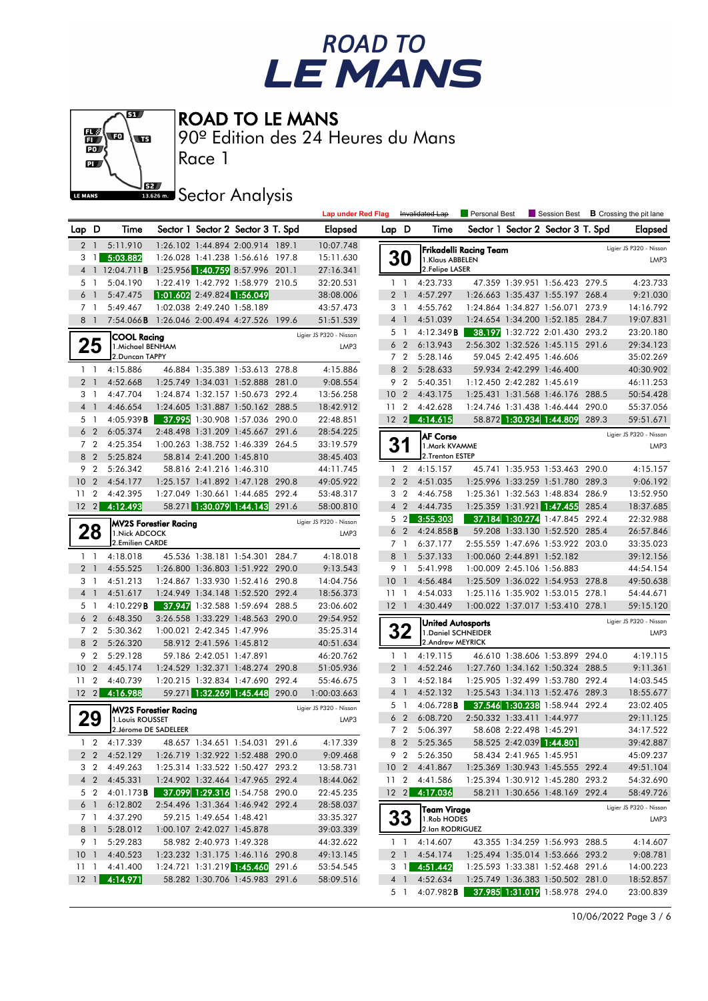



#### ROAD TO LE MANS

90º Edition des 24 Heures du Mans

**J**<br>Issue Sector Analysis

Race 1

|                 |                |                                                         |                                                        |                                                                           |       | <b>Lap under Red Flag</b> |                 |                | Invalidated Lap                | Personal Best                 |                            |                                   |       | Session Best <b>B</b> Crossing the pit lane |
|-----------------|----------------|---------------------------------------------------------|--------------------------------------------------------|---------------------------------------------------------------------------|-------|---------------------------|-----------------|----------------|--------------------------------|-------------------------------|----------------------------|-----------------------------------|-------|---------------------------------------------|
| Lap D           |                | Time                                                    |                                                        | Sector 1 Sector 2 Sector 3 T. Spd                                         |       | <b>Elapsed</b>            | Lap D           |                | Time                           |                               |                            | Sector 1 Sector 2 Sector 3 T. Spd |       | <b>Elapsed</b>                              |
| $\overline{2}$  | $\overline{1}$ | 5:11.910                                                |                                                        | 1:26.102 1:44.894 2:00.914 189.1                                          |       | 10:07.748                 |                 |                |                                |                               |                            |                                   |       | Ligier JS P320 - Nissan                     |
| 3               | $\overline{1}$ | 5:03.882                                                |                                                        | 1:26.028 1:41.238 1:56.616 197.8                                          |       | 15:11.630                 |                 | <b>30</b>      | 1.Klaus ABBELEN                | <b>Frikadelli Racing Team</b> |                            |                                   |       | LMP3                                        |
|                 |                | 4 1 12:04.711 <b>B</b> 1:25.956 1:40.759 8:57.996 201.1 |                                                        |                                                                           |       | 27:16.341                 |                 |                | 2. Felipe LASER                |                               |                            |                                   |       |                                             |
| 5 1             |                | 5:04.190                                                |                                                        | 1:22.419 1:42.792 1:58.979 210.5                                          |       | 32:20.531                 |                 | $1\quad$       | 4:23.733                       |                               |                            | 47.359 1:39.951 1:56.423 279.5    |       | 4:23.733                                    |
| 6               | $\overline{1}$ | 5:47.475                                                | 1:01.602 2:49.824 1:56.049                             |                                                                           |       | 38:08.006                 |                 | 2 <sub>1</sub> | 4:57.297                       |                               |                            | 1:26.663 1:35.437 1:55.197 268.4  |       | 9:21.030                                    |
| 7 1             |                | 5:49.467                                                | 1:02.038 2:49.240 1:58.189                             |                                                                           |       | 43:57.473                 |                 | 3 <sub>1</sub> | 4:55.762                       |                               |                            | 1:24.864 1:34.827 1:56.071        | 273.9 | 14:16.792                                   |
| 8 <sup>1</sup>  |                | 7:54.066 <b>B</b> 1:26.046 2:00.494 4:27.526 199.6      |                                                        |                                                                           |       | 51:51.539                 |                 | 4 1            | 4:51.039                       |                               |                            | 1:24.654 1:34.200 1:52.185 284.7  |       | 19:07.831                                   |
|                 |                |                                                         |                                                        |                                                                           |       | Ligier JS P320 - Nissan   |                 | 5 1            | 4:12.349B                      |                               |                            | 38.197 1:32.722 2:01.430 293.2    |       | 23:20.180                                   |
| 25              |                | COOL Racing<br>1. Michael BENHAM                        |                                                        |                                                                           |       | LMP3                      |                 | 6 <sub>2</sub> | 6:13.943                       |                               |                            | 2:56.302 1:32.526 1:45.115 291.6  |       | 29:34.123                                   |
|                 |                | 2.Duncan TAPPY                                          |                                                        |                                                                           |       |                           |                 | 7 <sub>2</sub> | 5:28.146                       |                               | 59.045 2:42.495 1:46.606   |                                   |       | 35:02.269                                   |
| $1\quad$        |                | 4:15.886                                                |                                                        | 46.884 1:35.389 1:53.613 278.8                                            |       | 4:15.886                  | 8               | $\overline{2}$ | 5:28.633                       |                               | 59.934 2:42.299 1:46.400   |                                   |       | 40:30.902                                   |
| 2 <sub>1</sub>  |                | 4:52.668                                                |                                                        | 1:25.749 1:34.031 1:52.888 281.0                                          |       | 9:08.554                  |                 | 9 2            | 5:40.351                       |                               | 1:12.450 2:42.282 1:45.619 |                                   |       | 46:11.253                                   |
| 3 1             |                | 4:47.704                                                |                                                        | 1:24.874 1:32.157 1:50.673 292.4                                          |       | 13:56.258                 | 10 <sub>2</sub> |                | 4:43.175                       |                               |                            | 1:25.431 1:31.568 1:46.176 288.5  |       | 50:54.428                                   |
| 4 <sup>1</sup>  |                | 4:46.654                                                |                                                        | 1:24.605 1:31.887 1:50.162 288.5                                          |       | 18:42.912                 | 11              | $\overline{2}$ | 4:42.628                       |                               |                            | 1:24.746 1:31.438 1:46.444 290.0  |       | 55:37.056                                   |
| 5 1             |                | 4:05.939B                                               |                                                        | 37.995 1:30.908 1:57.036 290.0                                            |       | 22:48.851                 |                 | $12 \quad 2$   | 4:14.615                       |                               |                            | 58.872 1:30.934 1:44.809 289.3    |       | 59:51.671                                   |
| 6 <sub>2</sub>  |                | 6:05.374                                                |                                                        | 2:48.498 1:31.209 1:45.667 291.6                                          |       | 28:54.225                 |                 |                | <b>AF Corse</b>                |                               |                            |                                   |       | Ligier JS P320 - Nissan                     |
| 7 <sub>2</sub>  |                | 4:25.354                                                |                                                        | 1:00.263 1:38.752 1:46.339 264.5                                          |       | 33:19.579                 |                 | 31             | 1.Mark KVAMME                  |                               |                            |                                   |       | LMP3                                        |
| 8 <sub>2</sub>  |                | 5:25.824                                                | 58.814 2:41.200 1:45.810                               |                                                                           |       | 38:45.403                 |                 |                | 2.Trenton ESTEP                |                               |                            |                                   |       |                                             |
| 9 <sub>2</sub>  |                | 5:26.342                                                | 58.816 2:41.216 1:46.310                               |                                                                           |       | 44:11.745                 |                 | $1\quad 2$     | 4:15.157                       |                               |                            | 45.741 1:35.953 1:53.463 290.0    |       | 4:15.157                                    |
| 10 <sub>2</sub> |                | 4:54.177                                                |                                                        | 1:25.157 1:41.892 1:47.128 290.8                                          |       | 49:05.922                 |                 | 2 <sub>2</sub> | 4:51.035                       |                               |                            | 1:25.996 1:33.259 1:51.780 289.3  |       | 9:06.192                                    |
| 11              | $\overline{2}$ | 4:42.395                                                |                                                        | 1:27.049 1:30.661 1:44.685 292.4                                          |       | 53:48.317                 | 3               | $\overline{2}$ | 4:46.758                       |                               |                            | 1:25.361 1:32.563 1:48.834        | 286.9 | 13:52.950                                   |
| $12 \quad 2$    |                | 4:12.493                                                |                                                        | 58.271 1:30.079 1:44.143 291.6                                            |       | 58:00.810                 |                 | 4 <sub>2</sub> | 4:44.735                       |                               |                            | 1:25.359 1:31.921 1:47.455        | 285.4 | 18:37.685                                   |
|                 |                | <b>MV2S Forestier Racing</b>                            |                                                        |                                                                           |       | Ligier JS P320 - Nissan   |                 | 5 <sub>2</sub> | 3:55.303                       |                               |                            | 37.184 1:30.274 1:47.845 292.4    |       | 22:32.988                                   |
| 28              |                | 1. Nick ADCOCK                                          |                                                        |                                                                           |       | LMP3                      |                 | 6 <sub>2</sub> | 4:24.858B                      |                               |                            | 59.208 1:33.130 1:52.520 285.4    |       | 26:57.846                                   |
|                 |                | 2.Emilien CARDE                                         |                                                        |                                                                           |       |                           |                 | 7 1            | 6:37.177                       |                               |                            | 2:55.559 1:47.696 1:53.922 203.0  |       | 33:35.023                                   |
| $1\quad$        |                | 4:18.018                                                |                                                        | 45.536 1:38.181 1:54.301 284.7                                            |       | 4:18.018                  | 8               | $\overline{1}$ | 5:37.133                       |                               | 1:00.060 2:44.891 1:52.182 |                                   |       | 39:12.156                                   |
| 2 <sub>1</sub>  |                | 4:55.525                                                |                                                        | 1:26.800 1:36.803 1:51.922 290.0                                          |       | 9:13.543                  |                 | 9 1            | 5:41.998                       |                               | 1:00.009 2:45.106 1:56.883 |                                   |       | 44:54.154                                   |
| 3 1             |                | 4:51.213                                                |                                                        | 1:24.867 1:33.930 1:52.416 290.8                                          |       | 14:04.756                 | $10-1$          |                | 4:56.484                       |                               |                            | 1:25.509 1:36.022 1:54.953 278.8  |       | 49:50.638                                   |
| 4 <sup>1</sup>  |                | 4:51.617                                                |                                                        | 1:24.949 1:34.148 1:52.520 292.4                                          |       | 18:56.373                 | 111             |                | 4:54.033                       |                               |                            | 1:25.116 1:35.902 1:53.015 278.1  |       | 54:44.671                                   |
| 5 <sub>1</sub>  |                | 4:10.229B                                               |                                                        | 37.947 1:32.588 1:59.694 288.5                                            |       | 23:06.602                 | $12-1$          |                | 4:30.449                       |                               |                            | 1:00.022 1:37.017 1:53.410 278.1  |       | 59:15.120                                   |
| 6 <sub>2</sub>  |                | 6:48.350                                                |                                                        | 3:26.558 1:33.229 1:48.563 290.0                                          |       | 29:54.952                 |                 |                | <b>United Autosports</b>       |                               |                            |                                   |       | Ligier JS P320 - Nissan                     |
| 7 <sub>2</sub>  |                | 5:30.362                                                | 1:00.021 2:42.345 1:47.996                             |                                                                           |       | 35:25.314                 |                 | 32             | 1. Daniel SCHNEIDER            |                               |                            |                                   |       | LMP3                                        |
| 8 2             |                | 5:26.320                                                | 58.912 2:41.596 1:45.812                               |                                                                           |       | 40:51.634                 |                 |                | 2.Andrew MEYRICK               |                               |                            |                                   |       |                                             |
| 9 <sub>2</sub>  |                | 5:29.128                                                | 59.186 2:42.051 1:47.891                               |                                                                           |       | 46:20.762                 |                 | $1\quad1$      | 4:19.115                       |                               |                            | 46.610 1:38.606 1:53.899 294.0    |       | 4:19.115                                    |
| 10 <sup>°</sup> | $\overline{2}$ | 4:45.174                                                |                                                        | 1:24.529 1:32.371 1:48.274 290.8                                          |       | 51:05.936                 |                 | 2 <sub>1</sub> | 4:52.246                       |                               |                            | 1:27.760 1:34.162 1:50.324 288.5  |       | 9:11.361                                    |
| 11              | $\overline{2}$ | 4:40.739                                                |                                                        | 1:20.215 1:32.834 1:47.690 292.4                                          |       | 55:46.675                 |                 | 3 1            | 4:52.184                       |                               |                            | 1:25.905 1:32.499 1:53.780 292.4  |       | 14:03.545                                   |
| $12 \quad 2$    |                | 4:16.988                                                |                                                        | 59.271 1:32.269 1:45.448 290.0                                            |       | 1:00:03.663               |                 | 4 <sup>1</sup> | 4:52.132                       |                               |                            | 1:25.543 1:34.113 1:52.476 289.3  |       | 18:55.677                                   |
|                 |                | <b>MV2S Forestier Racing</b>                            |                                                        |                                                                           |       | Ligier JS P320 - Nissan   |                 | 5 1            | 4:06.728B                      |                               |                            | 37.546 1:30.238 1:58.944 292.4    |       | 23:02.405                                   |
| 29              |                | 1. Louis ROUSSET                                        |                                                        |                                                                           |       | LMP3                      |                 | 6 <sub>2</sub> | 6:08.720                       |                               | 2:50.332 1:33.411 1:44.977 |                                   |       | 29:11.125                                   |
|                 |                | 2. Jérome DE SADELEER                                   |                                                        |                                                                           |       |                           |                 | 7 <sub>2</sub> | 5:06.397                       |                               | 58.608 2:22.498 1:45.291   |                                   |       | 34:17.522                                   |
| $\mathbf{1}$    | $\overline{2}$ | 4:17.339                                                |                                                        | 48.657 1:34.651 1:54.031                                                  | 291.6 | 4:17.339                  |                 | 8 <sub>2</sub> | 5:25.365                       |                               | 58.525 2:42.039 1:44.801   |                                   |       | 39:42.887                                   |
|                 |                | 2 2 4:52.129                                            |                                                        | 1:26.719 1:32.922 1:52.488 290.0                                          |       | 9:09.468                  |                 |                | 9 2 5:26.350<br>10 2 4:41.867  |                               | 58.434 2:41.965 1:45.951   |                                   |       | 45:09.237                                   |
|                 | 3 2            | 4:49.263                                                |                                                        | 1:25.314 1:33.522 1:50.427 293.2                                          |       | 13:58.731                 |                 |                |                                |                               |                            | 1:25.369 1:30.943 1:45.555 292.4  |       | 49:51.104                                   |
| 5 2             | $4\quad2$      | 4:45.331<br>4:01.173 <b>B</b>                           |                                                        | 1:24.902 1:32.464 1:47.965 292.4<br><b>37.099 1:29.316 1:54.758 290.0</b> |       | 18:44.062                 |                 |                | 11 2 4:41.586<br>12 2 4:17.036 |                               |                            | 1:25.394 1:30.912 1:45.280 293.2  |       | 54:32.690                                   |
|                 |                | 6:12.802                                                |                                                        | 2:54.496 1:31.364 1:46.942 292.4                                          |       | 22:45.235                 |                 |                |                                |                               |                            | 58.211 1:30.656 1:48.169 292.4    |       | 58:49.726                                   |
|                 | 6 1            |                                                         |                                                        |                                                                           |       | 28:58.037                 |                 |                | Team Virage                    |                               |                            |                                   |       | Ligier JS P320 - Nissan                     |
| 8 1             | 7 1            | 4:37.290<br>5:28.012                                    | 59.215 1:49.654 1:48.421<br>1:00.107 2:42.027 1:45.878 |                                                                           |       | 33:35.327<br>39:03.339    |                 | 33             | 1.Rob HODES<br>2.lan RODRIGUEZ |                               |                            |                                   |       | LMP3                                        |
|                 | 9 1            | 5:29.283                                                | 58.982 2:40.973 1:49.328                               |                                                                           |       | 44:32.622                 |                 | $1\quad1$      | 4:14.607                       |                               |                            | 43.355 1:34.259 1:56.993 288.5    |       | 4:14.607                                    |
|                 |                | 10 1 4:40.523                                           |                                                        | 1:23.232 1:31.175 1:46.116 290.8                                          |       | 49:13.145                 |                 |                | 2 1 4:54.174                   |                               |                            | 1:25.494 1:35.014 1:53.666 293.2  |       | 9:08.781                                    |
| $11-1$          |                | 4:41.400                                                |                                                        | 1:24.721 1:31.219 1:45.460 291.6                                          |       | 53:54.545                 |                 | $3 \quad 1$    | 4:51.442                       |                               |                            | 1:25.593 1:33.381 1:52.468 291.6  |       | 14:00.223                                   |
|                 |                | 12 1 4:14.971                                           |                                                        | 58.282 1:30.706 1:45.983 291.6                                            |       | 58:09.516                 |                 | $4 \quad 1$    | 4:52.634                       |                               |                            | 1:25.749 1:36.383 1:50.502 281.0  |       | 18:52.857                                   |
|                 |                |                                                         |                                                        |                                                                           |       |                           |                 | 5 1            | 4:07.982B                      |                               |                            | 37.985 1:31.019 1:58.978 294.0    |       | 23:00.839                                   |

10/06/2022 Page 3 / 6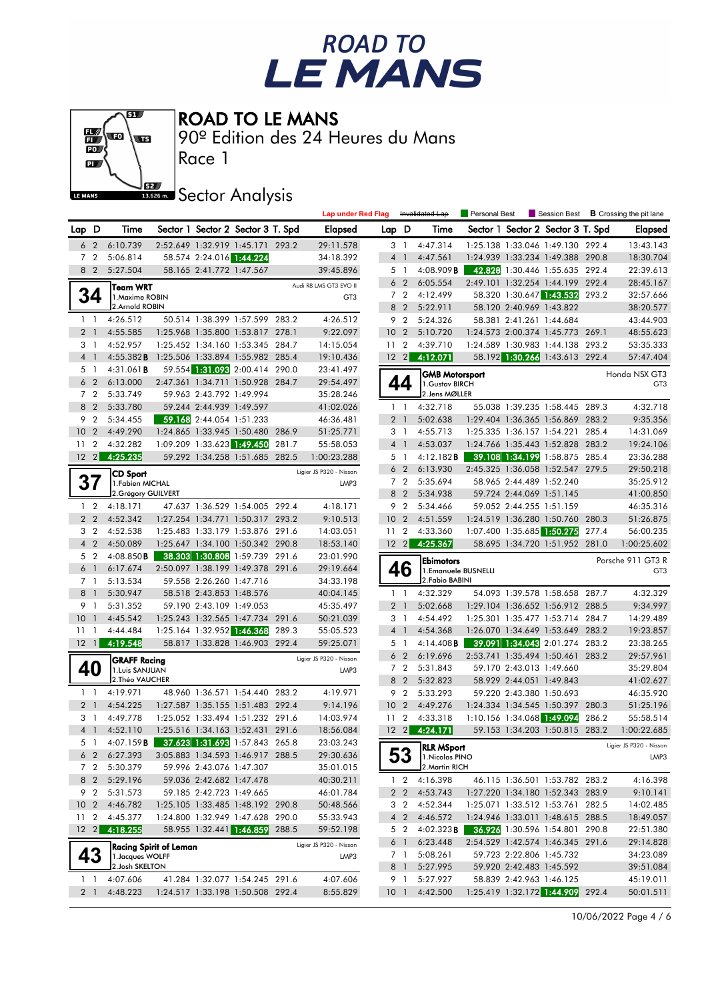# ROAD TO<br>LE MANS



ROAD TO LE MANS

90º Edition des 24 Heures du Mans

**J**<br>Issue Sector Analysis

Race 1

|                 |                |                                                  |                            |                                                                      |       | <b>Lap under Red Flag</b>       |                 |                       | Invalidated Lap                          | Personal Best |                                                                      | Session Best $\,$ <b>B</b> Crossing the pit lane |
|-----------------|----------------|--------------------------------------------------|----------------------------|----------------------------------------------------------------------|-------|---------------------------------|-----------------|-----------------------|------------------------------------------|---------------|----------------------------------------------------------------------|--------------------------------------------------|
| Lap D           |                | Time                                             |                            | Sector 1 Sector 2 Sector 3 T. Spd                                    |       | <b>Elapsed</b>                  | Lap D           |                       | Time                                     |               | Sector 1 Sector 2 Sector 3 T. Spd                                    | Elapsed                                          |
| 6               | $\overline{2}$ | 6:10.739                                         |                            | 2:52.649 1:32.919 1:45.171 293.2                                     |       | 29:11.578                       |                 | 3 <sub>1</sub>        | 4:47.314                                 |               | 1:25.138 1:33.046 1:49.130 292.4                                     | 13:43.143                                        |
|                 | 7 <sub>2</sub> | 5:06.814                                         | 58.574 2:24.016 1:44.224   |                                                                      |       | 34:18.392                       |                 | 4 <sup>1</sup>        | 4:47.561                                 |               | 1:24.939 1:33.234 1:49.388 290.8                                     | 18:30.704                                        |
|                 | 8 2            | 5:27.504                                         | 58.165 2:41.772 1:47.567   |                                                                      |       | 39:45.896                       |                 | 5 1                   | 4:08.909B                                |               | 42.828 1:30.446 1:55.635 292.4                                       | 22:39.613                                        |
|                 |                | Team WRT                                         |                            |                                                                      |       | Audi R8 LMS GT3 EVO II          |                 | 6 <sub>2</sub>        | 6:05.554                                 |               | 2:49.101 1:32.254 1:44.199 292.4                                     | 28:45.167                                        |
|                 | 34             | 1. Maxime ROBIN                                  |                            |                                                                      |       | GT <sub>3</sub>                 |                 | 7 <sub>2</sub>        | 4:12.499                                 |               | 58.320 1:30.647 1:43.532 293.2                                       | 32:57.666                                        |
|                 |                | 2.Arnold ROBIN                                   |                            |                                                                      |       |                                 |                 | 8 2                   | 5:22.911                                 |               | 58.120 2:40.969 1:43.822                                             | 38:20.577                                        |
|                 | $1\quad1$      | 4:26.512                                         |                            | 50.514 1:38.399 1:57.599 283.2                                       |       | 4:26.512                        |                 | 9 2                   | 5:24.326                                 |               | 58.381 2:41.261 1:44.684                                             | 43:44.903                                        |
|                 | 2 <sub>1</sub> | 4:55.585                                         |                            | 1:25.968 1:35.800 1:53.817 278.1                                     |       | 9:22.097                        | 10 <sub>2</sub> |                       | 5:10.720                                 |               | 1:24.573 2:00.374 1:45.773 269.1                                     | 48:55.623                                        |
|                 | 3 1            | 4:52.957                                         |                            | 1:25.452 1:34.160 1:53.345 284.7                                     |       | 14:15.054                       | 11 <sub>2</sub> |                       | 4:39.710                                 |               | 1:24.589 1:30.983 1:44.138 293.2                                     | 53:35.333                                        |
|                 | 4 1            | 4:55.382B                                        |                            | 1:25.506 1:33.894 1:55.982 285.4                                     |       | 19:10.436                       |                 |                       | 12 2 4:12.071                            |               | 58.192 1:30.266 1:43.613 292.4                                       | 57:47.404                                        |
|                 | 51             | 4:31.061 <b>B</b>                                |                            | 59.554 1:31.093 2:00.414 290.0                                       |       | 23:41.497                       |                 |                       | <b>GMB Motorsport</b>                    |               |                                                                      | Honda NSX GT3                                    |
|                 | 6 <sub>2</sub> | 6:13.000                                         |                            | 2:47.361 1:34.711 1:50.928 284.7                                     |       | 29:54.497                       | 44              |                       | 1. Gustav BIRCH                          |               |                                                                      | GT <sub>3</sub>                                  |
|                 | 7 <sub>2</sub> | 5:33.749                                         | 59.963 2:43.792 1:49.994   |                                                                      |       | 35:28.246                       |                 |                       | 2. Jens MØLLER                           |               |                                                                      |                                                  |
|                 | 8 2            | 5:33.780                                         | 59.244 2:44.939 1:49.597   |                                                                      |       | 41:02.026                       |                 | $1\quad$              | 4:32.718                                 |               | 55.038 1:39.235 1:58.445 289.3                                       | 4:32.718                                         |
|                 | 9 2            | 5:34.455                                         | 59.168 2:44.054 1:51.233   |                                                                      |       | 46:36.481                       |                 | 2 <sub>1</sub>        | 5:02.638                                 |               | 1:29.404 1:36.365 1:56.869 283.2                                     | 9:35.356                                         |
| 10              | $\overline{2}$ | 4:49.290                                         |                            | 1:24.865 1:33.945 1:50.480 286.9                                     |       | 51:25.771                       |                 | 3 1                   | 4:55.713                                 |               | 1:25.335 1:36.157 1:54.221 285.4                                     | 14:31.069                                        |
| 11              | $\overline{2}$ | 4:32.282                                         | 1:09.209 1:33.623 1:49.450 |                                                                      | 281.7 | 55:58.053                       |                 | 4 <sup>1</sup>        | 4:53.037                                 |               | 1:24.766 1:35.443 1:52.828 283.2                                     | 19:24.106                                        |
| $12 \quad 2$    |                | 4:25.235                                         |                            | 59.292 1:34.258 1:51.685 282.5                                       |       | 1:00:23.288                     |                 | 5 1<br>6 <sub>2</sub> | 4:12.182B<br>6:13.930                    |               | 39.108 1:34.199 1:58.875 285.4<br>2:45.325 1:36.058 1:52.547 279.5   | 23:36.288<br>29:50.218                           |
|                 |                | <b>CD Sport</b>                                  |                            |                                                                      |       | Ligier JS P320 - Nissan         |                 | 7 <sub>2</sub>        | 5:35.694                                 |               | 58.965 2:44.489 1:52.240                                             | 35:25.912                                        |
|                 | 37             | 1. Fabien MICHAL<br>2. Grégory GUILVERT          |                            |                                                                      |       | LMP3                            |                 | 8 2                   | 5:34.938                                 |               | 59.724 2:44.069 1:51.145                                             | 41:00.850                                        |
|                 | $1\quad 2$     | 4:18.171                                         |                            | 47.637 1:36.529 1:54.005 292.4                                       |       | 4:18.171                        |                 | 9 2                   | 5:34.466                                 |               | 59.052 2:44.255 1:51.159                                             | 46:35.316                                        |
|                 | 2 <sub>2</sub> | 4:52.342                                         |                            | 1:27.254 1:34.771 1:50.317 293.2                                     |       | 9:10.513                        | 10 <sub>2</sub> |                       | 4:51.559                                 |               | 1:24.519 1:36.280 1:50.760 280.3                                     | 51:26.875                                        |
|                 | 3 <sub>2</sub> | 4:52.538                                         |                            | 1:25.483 1:33.179 1:53.876 291.6                                     |       | 14:03.051                       | 11 <sub>2</sub> |                       | 4:33.360                                 |               | 1:07.400 1:35.685 1:50.275 277.4                                     | 56:00.235                                        |
|                 | 4 <sub>2</sub> | 4:50.089                                         |                            | 1:25.647 1:34.100 1:50.342 290.8                                     |       | 18:53.140                       | $12 \quad 2$    |                       | 4:25.367                                 |               | 58.695 1:34.720 1:51.952 281.0                                       | 1:00:25.602                                      |
|                 | 5 2            | 4:08.850B                                        |                            | 38.303 1:30.808 1:59.739 291.6                                       |       | 23:01.990                       |                 |                       |                                          |               |                                                                      |                                                  |
|                 | 6 1            | 6:17.674                                         |                            | 2:50.097 1:38.199 1:49.378 291.6                                     |       | 29:19.664                       |                 | 46                    | <b>Ebimotors</b><br>1. Emanuele BUSNELLI |               |                                                                      | Porsche 911 GT3 R<br>GT <sub>3</sub>             |
|                 | 7 1            | 5:13.534                                         | 59.558 2:26.260 1:47.716   |                                                                      |       | 34:33.198                       |                 |                       | 2. Fabio BABINI                          |               |                                                                      |                                                  |
| 8               | $\overline{1}$ | 5:30.947                                         | 58.518 2:43.853 1:48.576   |                                                                      |       | 40:04.145                       |                 | $1\quad$              | 4:32.329                                 |               | 54.093 1:39.578 1:58.658 287.7                                       | 4:32.329                                         |
|                 | 9 1            | 5:31.352                                         | 59.190 2:43.109 1:49.053   |                                                                      |       | 45:35.497                       |                 | 2 <sub>1</sub>        | 5:02.668                                 |               | 1:29.104 1:36.652 1:56.912 288.5                                     | 9:34.997                                         |
| 10              | $\mathbf{1}$   | 4:45.542                                         |                            | 1:25.243 1:32.565 1:47.734 291.6                                     |       | 50:21.039                       |                 | 3 1                   | 4:54.492                                 |               | 1:25.301 1:35.477 1:53.714 284.7                                     | 14:29.489                                        |
| 11              | $\overline{1}$ | 4:44.484                                         |                            | 1:25.164 1:32.952 1:46.368                                           | 289.3 | 55:05.523                       |                 | 4 <sup>1</sup>        | 4:54.368                                 |               | 1:26.070 1:34.649 1:53.649 283.2                                     | 19:23.857                                        |
| $12 \quad 1$    |                | 4:19.548                                         |                            | 58.817 1:33.828 1:46.903 292.4                                       |       | 59:25.071                       |                 | 5 1                   | 4:14.408B                                |               | 39.091 1:34.043 2:01.274 283.2                                       | 23:38.265                                        |
|                 |                | <b>GRAFF Racing</b>                              |                            |                                                                      |       | Ligier JS P320 - Nissan         |                 | 6 <sub>2</sub>        | 6:19.696                                 |               | 2:53.741 1:35.494 1:50.461 283.2                                     | 29:57.961                                        |
|                 | 40             | 1. Luis SANJUAN                                  |                            |                                                                      |       | LMP3                            |                 | 7 <sub>2</sub>        | 5:31.843                                 |               | 59.170 2:43.013 1:49.660                                             | 35:29.804                                        |
|                 |                | 2. Théo VAUCHER                                  |                            |                                                                      |       |                                 |                 | 8 2                   | 5:32.823                                 |               | 58.929 2:44.051 1:49.843                                             | 41:02.627                                        |
|                 | $1\quad$       | 4:19.971                                         |                            | 48.960 1:36.571 1:54.440 283.2                                       |       | 4:19.971                        |                 | 9 2                   | 5:33.293                                 |               | 59.220 2:43.380 1:50.693                                             | 46:35.920                                        |
|                 | 2 <sub>1</sub> | 4:54.225                                         |                            | 1:27.587 1:35.155 1:51.483 292.4                                     |       | 9:14.196                        | 10 <sub>2</sub> |                       | 4:49.276                                 |               | 1:24.334 1:34.545 1:50.397 280.3                                     | 51:25.196                                        |
|                 | 3 1            | 4:49.778                                         |                            | 1:25.052 1:33.494 1:51.232 291.6                                     |       | 14:03.974                       | 11              | $\overline{2}$        | 4:33.318                                 |               | 1:10.156 1:34.068 1:49.094 286.2                                     | 55:58.514                                        |
|                 | 4 <sup>1</sup> | 4:52.110                                         |                            | 1:25.516 1:34.163 1:52.431 291.6                                     |       | 18:56.084                       |                 |                       | 12 2 4:24.171                            |               | 59.153 1:34.203 1:50.815 283.2                                       | 1:00:22.685                                      |
|                 | 5 1            | 4:07.159 <b>B</b> 37.623 1:31.693 1:57.843 265.8 |                            |                                                                      |       | 23:03.243                       |                 |                       | <b>RLR MSport</b>                        |               |                                                                      | Ligier JS P320 - Nissan                          |
|                 |                | 6 2 6:27.393                                     |                            | 3:05.883 1:34.593 1:46.917 288.5                                     |       | 29:30.636                       |                 | 53                    | 1. Nicolas PINO<br>2. Martin RICH        |               |                                                                      | LMP3                                             |
|                 | 7 2            | 5:30.379                                         | 59.996 2:43.076 1:47.307   |                                                                      |       | 35:01.015                       |                 |                       |                                          |               |                                                                      |                                                  |
|                 | 8 2            | 5:29.196                                         | 59.036 2:42.682 1:47.478   |                                                                      |       | 40:30.211                       |                 | $1\quad 2$            | 4:16.398                                 |               | 46.115 1:36.501 1:53.782 283.2                                       | 4:16.398                                         |
|                 | 9 2            | 5:31.573                                         | 59.185 2:42.723 1:49.665   |                                                                      |       | 46:01.784                       |                 | 2 <sub>2</sub>        | 4:53.743                                 |               | 1:27.220 1:34.180 1:52.343 283.9                                     | 9:10.141                                         |
| 11 <sub>2</sub> |                | 10 2 4:46.782<br>4:45.377                        |                            | 1:25.105 1:33.485 1:48.192 290.8<br>1:24.800 1:32.949 1:47.628 290.0 |       | 50:48.566                       |                 | 3 2<br>4 2            | 4:52.344<br>4:46.572                     |               | 1:25.071 1:33.512 1:53.761 282.5<br>1:24.946 1:33.011 1:48.615 288.5 | 14:02.485                                        |
| $12 \quad 2$    |                | 4:18.255                                         |                            | 58.955 1:32.441 1:46.859 288.5                                       |       | 55:33.943<br>59:52.198          |                 | 5 2                   | 4:02.323B                                |               | <b>36.926</b> 1:30.596 1:54.801 290.8                                | 18:49.057<br>22:51.380                           |
|                 |                |                                                  |                            |                                                                      |       |                                 |                 | 6 1                   | 6:23.448                                 |               | 2:54.529 1:42.574 1:46.345 291.6                                     | 29:14.828                                        |
|                 | 43             | Racing Spirit of Leman<br>1. Jacques WOLFF       |                            |                                                                      |       | Ligier JS P320 - Nissan<br>LMP3 |                 | 7 1                   | 5:08.261                                 |               | 59.723 2:22.806 1:45.732                                             | 34:23.089                                        |
|                 |                | 2. Josh SKELTON                                  |                            |                                                                      |       |                                 |                 | 8 1                   | 5:27.995                                 |               | 59.920 2:42.483 1:45.592                                             | 39:51.084                                        |
|                 | $1\quad$       | 4:07.606                                         |                            | 41.284 1:32.077 1:54.245 291.6                                       |       | 4:07.606                        |                 | 91                    | 5:27.927                                 |               | 58.839 2:42.963 1:46.125                                             | 45:19.011                                        |
|                 | 2 1            | 4:48.223                                         |                            | 1:24.517 1:33.198 1:50.508 292.4                                     |       | 8:55.829                        | 10 <sub>1</sub> |                       | 4:42.500                                 |               | 1:25.419 1:32.172 1:44.909 292.4                                     | 50:01.511                                        |
|                 |                |                                                  |                            |                                                                      |       |                                 |                 |                       |                                          |               |                                                                      |                                                  |

10/06/2022 Page 4 / 6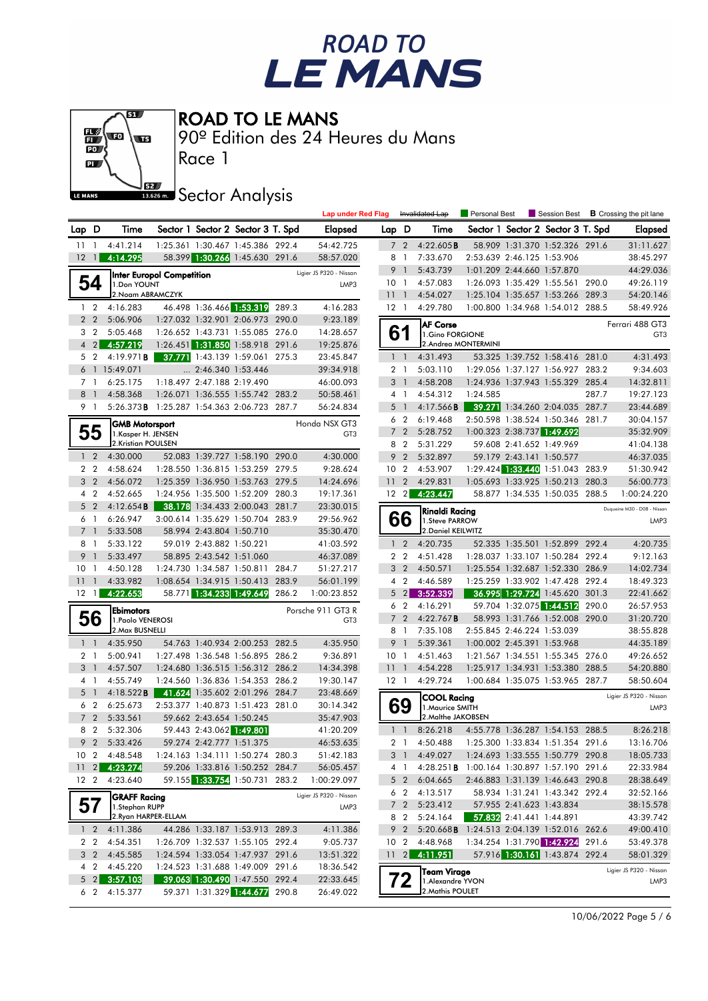



ROAD TO LE MANS

90º Edition des 24 Heures du Mans

**J**<br>Issue Sector Analysis

Race 1

|       |                               |                              |                                             |                                                              |       | <b>Lap under Red Flag</b>            |                 |                                  | Invalidated Lap                                    | Personal Best       | Session Best                                                       |       | <b>B</b> Crossing the pit lane |
|-------|-------------------------------|------------------------------|---------------------------------------------|--------------------------------------------------------------|-------|--------------------------------------|-----------------|----------------------------------|----------------------------------------------------|---------------------|--------------------------------------------------------------------|-------|--------------------------------|
| Lap D |                               |                              | Time                                        | Sector 1 Sector 2 Sector 3 T. Spd                            |       | <b>Elapsed</b>                       | Lap D           |                                  | Time                                               |                     | Sector 1 Sector 2 Sector 3 T. Spd                                  |       | <b>Elapsed</b>                 |
| 11    |                               | $\overline{1}$               | 4:41.214                                    | 1:25.361 1:30.467 1:45.386 292.4                             |       | 54:42.725                            | 7               | $\overline{2}$                   | 4:22.605B                                          |                     | 58.909 1:31.370 1:52.326 291.6                                     |       | 31:11.627                      |
|       | 12                            | $\overline{1}$               | 4:14.295                                    | 58.399 1:30.266 1:45.630 291.6                               |       | 58:57.020                            |                 | 8 1                              | 7:33.670                                           |                     | 2:53.639 2:46.125 1:53.906                                         |       | 38:45.297                      |
|       |                               |                              | <b>Inter Europol Competition</b>            |                                                              |       | Ligier JS P320 - Nissan              | 9               | $\overline{1}$                   | 5:43.739                                           |                     | 1:01.209 2:44.660 1:57.870                                         |       | 44:29.036                      |
|       | 54                            |                              | 1.Don YOUNT                                 |                                                              |       | LMP3                                 | 10 <sub>1</sub> |                                  | 4:57.083                                           |                     | 1:26.093 1:35.429 1:55.561 290.0                                   |       | 49:26.119                      |
|       |                               |                              | 2. Noam ABRAMCZYK                           |                                                              |       |                                      | 11 <sub>1</sub> |                                  | 4:54.027                                           |                     | 1:25.104 1:35.657 1:53.266 289.3                                   |       | 54:20.146                      |
|       | $1\quad 2$                    |                              | 4:16.283                                    | 46.498 1:36.466 1:53.319 289.3                               |       | 4:16.283                             | $12-1$          |                                  | 4:29.780                                           |                     | 1:00.800 1:34.968 1:54.012 288.5                                   |       | 58:49.926                      |
|       | 2 <sub>2</sub>                |                              | 5:06.906                                    | 1:27.032 1:32.901 2:06.973 290.0                             |       | 9:23.189                             |                 |                                  | <b>AF Corse</b>                                    |                     |                                                                    |       | Ferrari 488 GT3                |
|       | 3 <sub>2</sub>                |                              | 5:05.468                                    | 1:26.652 1:43.731 1:55.085 276.0                             |       | 14:28.657                            |                 | 61                               | 1.Gino FORGIONE                                    | 2.Andrea MONTERMINI |                                                                    |       | GT <sub>3</sub>                |
|       | $\overline{4}$                | $\left  \frac{2}{2} \right $ | 4:57.219                                    | 1:26.451 1:31.850 1:58.918 291.6                             |       | 19:25.876                            |                 |                                  |                                                    |                     |                                                                    |       | 4:31.493                       |
|       | 5 2                           |                              | 4:19.971B<br>6 1 15:49.071                  | 37.771 1:43.139 1:59.061 275.3<br>$\ldots$ 2:46.340 1:53.446 |       | 23:45.847<br>39:34.918               |                 | $1\quad$<br>2 <sub>1</sub>       | 4:31.493<br>5:03.110                               |                     | 53.325 1:39.752 1:58.416 281.0<br>1:29.056 1:37.127 1:56.927 283.2 |       | 9:34.603                       |
|       | 7 1                           |                              | 6:25.175                                    | 1:18.497 2:47.188 2:19.490                                   |       | 46:00.093                            |                 | 3 <sup>1</sup>                   | 4:58.208                                           |                     | 1:24.936 1:37.943 1:55.329 285.4                                   |       | 14:32.811                      |
|       | 8 <sup>1</sup>                |                              | 4:58.368                                    | 1:26.071 1:36.555 1:55.742 283.2                             |       | 50:58.461                            |                 | 4 <sup>1</sup>                   | 4:54.312                                           | 1:24.585            |                                                                    | 287.7 | 19:27.123                      |
|       | 9 1                           |                              | 5:26.373B 1:25.287 1:54.363 2:06.723 287.7  |                                                              |       | 56:24.834                            |                 | 5 <sub>1</sub>                   | 4:17.566B                                          |                     | 39.271 1:34.260 2:04.035 287.7                                     |       | 23:44.689                      |
|       |                               |                              |                                             |                                                              |       |                                      |                 | 6 2                              | 6:19.468                                           |                     | 2:50.598 1:38.524 1:50.346 281.7                                   |       | 30:04.157                      |
|       | 55                            |                              | <b>GMB Motorsport</b><br>1.Kasper H. JENSEN |                                                              |       | Honda NSX GT3<br>GT <sub>3</sub>     |                 | 7 <sup>2</sup>                   | 5:28.752                                           |                     | 1:00.323 2:38.737 1:49.692                                         |       | 35:32.909                      |
|       |                               |                              | 2.Kristian POULSEN                          |                                                              |       |                                      |                 | 8 2                              | 5:31.229                                           |                     | 59.608 2:41.652 1:49.969                                           |       | 41:04.138                      |
|       | 1 <sub>2</sub>                |                              | 4:30.000                                    | 52.083 1:39.727 1:58.190 290.0                               |       | 4:30.000                             | 9               | $\overline{2}$                   | 5:32.897                                           |                     | 59.179 2:43.141 1:50.577                                           |       | 46:37.035                      |
|       | 2 <sub>2</sub>                |                              | 4:58.624                                    | 1:28.550 1:36.815 1:53.259 279.5                             |       | 9:28.624                             | 10 <sub>2</sub> |                                  | 4:53.907                                           |                     | 1:29.424 1:33.440 1:51.043 283.9                                   |       | 51:30.942                      |
|       | 3 <sub>2</sub>                |                              | 4:56.072                                    | 1:25.359 1:36.950 1:53.763 279.5                             |       | 14:24.696                            | 11              | $\overline{2}$                   | 4:29.831                                           |                     | 1:05.693 1:33.925 1:50.213 280.3                                   |       | 56:00.773                      |
|       | 4 <sup>2</sup>                |                              | 4:52.665                                    | 1:24.956 1:35.500 1:52.209 280.3                             |       | 19:17.361                            | $12 \quad 2$    |                                  | 4:23.447                                           |                     | 58.877 1:34.535 1:50.035 288.5                                     |       | 1:00:24.220                    |
|       | 5 <sub>2</sub>                |                              | 4:12.654B                                   | 38.178 1:34.433 2:00.043 281.7                               |       | 23:30.015                            |                 |                                  | Rinaldi Racing                                     |                     |                                                                    |       | Duqueine M30 - D08 - Nissan    |
|       | 6 1                           |                              | 6:26.947                                    | 3:00.614 1:35.629 1:50.704 283.9                             |       | 29:56.962                            |                 | 66                               | 1. Steve PARROW                                    |                     |                                                                    |       | LMP3                           |
|       | $\overline{7}$                | $\overline{1}$               | 5:33.508                                    | 58.994 2:43.804 1:50.710                                     |       | 35:30.470                            |                 |                                  | 2. Daniel KEILWITZ                                 |                     |                                                                    |       |                                |
|       | 8                             | $\overline{1}$               | 5:33.122                                    | 59.019 2:43.882 1:50.221                                     |       | 41:03.592                            |                 | $1\quad 2$                       | 4:20.735                                           |                     | 52.335 1:35.501 1:52.899 292.4                                     |       | 4:20.735                       |
|       | 9                             | $\overline{1}$               | 5:33.497                                    | 58.895 2:43.542 1:51.060                                     |       | 46:37.089                            |                 | 2 <sub>2</sub>                   | 4:51.428                                           |                     | 1:28.037 1:33.107 1:50.284 292.4                                   |       | 9:12.163                       |
|       | 10 <sub>1</sub>               |                              | 4:50.128                                    | 1:24.730 1:34.587 1:50.811 284.7                             |       | 51:27.217                            |                 | 3 <sub>2</sub>                   | 4:50.571                                           |                     | 1:25.554 1:32.687 1:52.330 286.9                                   |       | 14:02.734                      |
|       | 111                           |                              | 4:33.982<br>4:22.653                        | 1:08.654 1:34.915 1:50.413 283.9<br>58.771 1:34.233 1:49.649 |       | 56:01.199                            | 4               | $\overline{2}$<br>$\overline{2}$ | 4:46.589<br>3:52.339                               |                     | 1:25.259 1:33.902 1:47.428 292.4<br>36.995 1:29.724 1:45.620 301.3 |       | 18:49.323                      |
|       | 12 <sub>1</sub>               |                              |                                             |                                                              | 286.2 | 1:00:23.852                          | 5               | 6 <sub>2</sub>                   | 4:16.291                                           |                     | 59.704 1:32.075 1:44.512 290.0                                     |       | 22:41.662<br>26:57.953         |
|       | 56                            |                              | <b>Ebimotors</b>                            |                                                              |       | Porsche 911 GT3 R<br>GT <sub>3</sub> |                 | 7 <sub>2</sub>                   | 4:22.767B                                          |                     | 58.993 1:31.766 1:52.008 290.0                                     |       | 31:20.720                      |
|       |                               |                              | 1. Paolo VENEROSI<br>2. Max BUSNELLI        |                                                              |       |                                      |                 | 8 1                              | 7:35.108                                           |                     | 2:55.845 2:46.224 1:53.039                                         |       | 38:55.828                      |
|       | $1\quad$                      |                              | 4:35.950                                    | 54.763 1:40.934 2:00.253 282.5                               |       | 4:35.950                             | 9               | $\overline{1}$                   | 5:39.361                                           |                     | 1:00.002 2:45.391 1:53.968                                         |       | 44:35.189                      |
|       | 2 <sub>1</sub>                |                              | 5:00.941                                    | 1:27.498 1:36.548 1:56.895 286.2                             |       | 9:36.891                             | 10 <sub>1</sub> |                                  | 4:51.463                                           |                     | 1:21.567 1:34.551 1:55.345 276.0                                   |       | 49:26.652                      |
|       | 3 <sup>1</sup>                |                              | 4:57.507                                    | 1:24.680 1:36.515 1:56.312 286.2                             |       | 14:34.398                            | 11 <sub>1</sub> |                                  | 4:54.228                                           |                     | 1:25.917 1:34.931 1:53.380 288.5                                   |       | 54:20.880                      |
|       | 4 1                           |                              | 4:55.749                                    | 1:24.560 1:36.836 1:54.353 286.2                             |       | 19:30.147                            | $12-1$          |                                  | 4:29.724                                           |                     | 1:00.684 1:35.075 1:53.965 287.7                                   |       | 58:50.604                      |
|       | 5<br>$\overline{\phantom{0}}$ |                              | 4:18.522B                                   | 41.624 1:35.602 2:01.296 284.7                               |       | 23:48.669                            |                 |                                  | <b>COOL Racing</b>                                 |                     |                                                                    |       | Ligier JS P320 - Nissan        |
|       | 6 2                           |                              | 6:25.673                                    | 2:53.377 1:40.873 1:51.423 281.0                             |       | 30:14.342                            |                 | 69                               | 1. Maurice SMITH                                   |                     |                                                                    |       | LMP3                           |
|       | 7 <sub>2</sub>                |                              | 5:33.561                                    | 59.662 2:43.654 1:50.245                                     |       | 35:47.903                            |                 |                                  | 2. Malthe JAKOBSEN                                 |                     |                                                                    |       |                                |
|       | 8 2                           |                              | 5:32.306                                    | 59.443 2:43.062 1:49.801                                     |       | 41:20.209                            |                 | $1\quad1$                        | 8:26.218                                           |                     | 4:55.778 1:36.287 1:54.153 288.5                                   |       | 8:26.218                       |
|       | 9                             | $\overline{2}$               | 5:33.426                                    | 59.274 2:42.777 1:51.375                                     |       | 46:53.635                            |                 | 2 <sub>1</sub>                   | 4:50.488                                           |                     | 1:25.300 1:33.834 1:51.354 291.6                                   |       | 13:16.706                      |
|       |                               |                              | 10 2 4:48.548                               | 1:24.163 1:34.111 1:50.274 280.3                             |       | 51:42.183                            |                 |                                  | 3 1 4:49.027                                       |                     | 1:24.693 1:33.555 1:50.779 290.8                                   |       | 18:05.733                      |
|       | $11 \quad 2$                  |                              | 4:23.274                                    | 59.206 1:33.816 1:50.252 284.7                               |       | 56:05.457                            |                 | 4 1                              | 4:28.251 <b>B</b> 1:00.164 1:30.897 1:57.190 291.6 |                     |                                                                    |       | 22:33.984                      |
|       | 12 <sub>2</sub>               |                              | 4:23.640                                    | 59.155 1:33.754 1:50.731 283.2                               |       | 1:00:29.097                          |                 | $5\quad2$                        | 6:04.665                                           |                     | 2:46.883 1:31.139 1:46.643 290.8                                   |       | 28:38.649                      |
|       |                               |                              | <b>GRAFF Racing</b>                         |                                                              |       | Ligier JS P320 - Nissan              |                 | 6 <sub>2</sub><br>7 <sup>2</sup> | 4:13.517<br>5:23.412                               |                     | 58.934 1:31.241 1:43.342 292.4<br>57.955 2:41.623 1:43.834         |       | 32:52.166<br>38:15.578         |
|       | 57                            |                              | 1.Stephan RUPP<br>2. Ryan HARPER-ELLAM      |                                                              |       | LMP3                                 |                 | 8 2                              | 5:24.164                                           |                     | 57.832 2:41.441 1:44.891                                           |       | 43:39.742                      |
|       | $1\quad 2$                    |                              | 4:11.386                                    | 44.286 1:33.187 1:53.913 289.3                               |       | 4:11.386                             |                 | 9 2                              | 5:20.668B 1:24.513 2:04.139 1:52.016 262.6         |                     |                                                                    |       | 49:00.410                      |
|       | 2 2                           |                              | 4:54.351                                    | 1:26.709 1:32.537 1:55.105 292.4                             |       | 9:05.737                             | 10 <sub>2</sub> |                                  | 4:48.968                                           |                     | 1:34.254 1:31.790 1:42.924 291.6                                   |       | 53:49.378                      |
|       | 3 <sub>2</sub>                |                              | 4:45.585                                    | 1:24.594 1:33.054 1:47.937 291.6                             |       | 13:51.322                            |                 | $11 \quad 2$                     | 4:11.951                                           |                     | 57.916 1:30.161 1:43.874 292.4                                     |       | 58:01.329                      |
|       | 4 <sup>2</sup>                |                              | 4:45.220                                    | 1:24.523 1:31.688 1:49.009 291.6                             |       | 18:36.542                            |                 |                                  |                                                    |                     |                                                                    |       | Ligier JS P320 - Nissan        |
|       | $5 \quad 2$                   |                              | 3:57.103                                    | 39.063 1:30.490 1:47.550 292.4                               |       | 22:33.645                            |                 | 72                               | Team Virage<br>1.Alexandre YVON                    |                     |                                                                    |       | LMP3                           |
|       | 6 2                           |                              | 4:15.377                                    | 59.371 1:31.329 1:44.677 290.8                               |       | 26:49.022                            |                 |                                  | 2. Mathis POULET                                   |                     |                                                                    |       |                                |

10/06/2022 Page 5 / 6